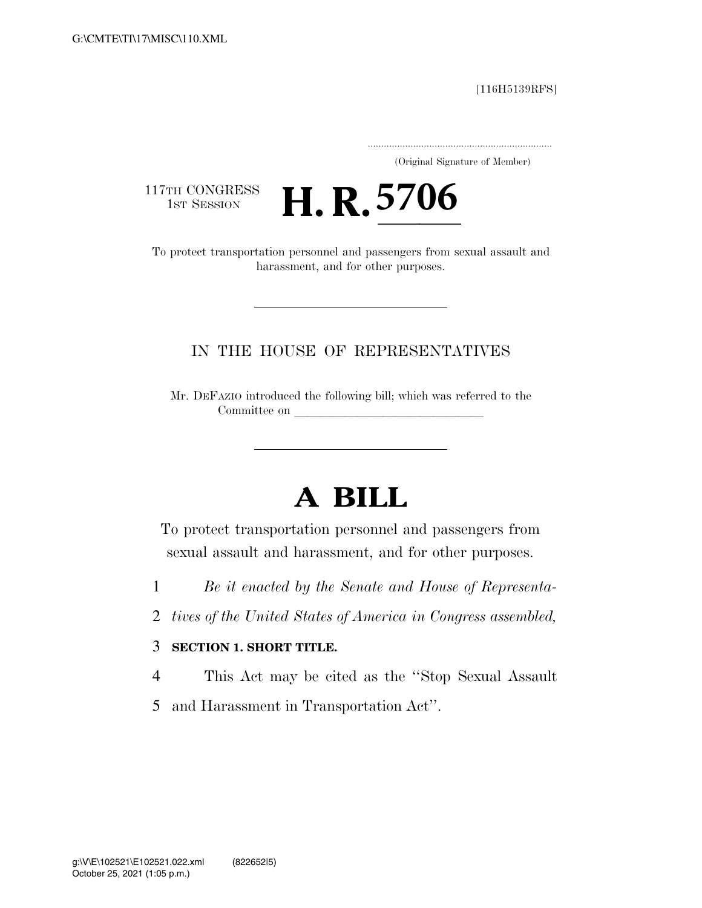[116H5139RFS]

..................................................................... (Original Signature of Member)

117TH CONGRESS<br>1st Session

17TH CONGRESS **H. R. 5706**<br>To protect transportation personnel and passengers from sexual assault and

harassment, and for other purposes.

### IN THE HOUSE OF REPRESENTATIVES

Mr. DEFAZIO introduced the following bill; which was referred to the Committee on

# **A BILL**

To protect transportation personnel and passengers from sexual assault and harassment, and for other purposes.

- 1 *Be it enacted by the Senate and House of Representa-*
- 2 *tives of the United States of America in Congress assembled,*

### 3 **SECTION 1. SHORT TITLE.**

4 This Act may be cited as the ''Stop Sexual Assault

5 and Harassment in Transportation Act''.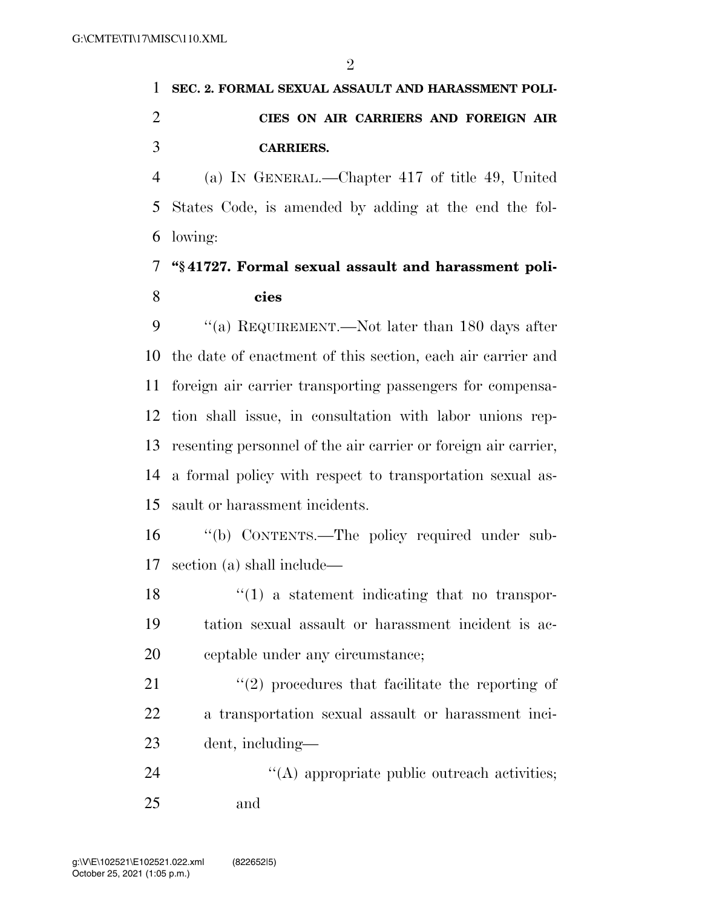## **SEC. 2. FORMAL SEXUAL ASSAULT AND HARASSMENT POLI- CIES ON AIR CARRIERS AND FOREIGN AIR CARRIERS.**

 (a) IN GENERAL.—Chapter 417 of title 49, United States Code, is amended by adding at the end the fol-lowing:

### **''§ 41727. Formal sexual assault and harassment poli-cies**

9 "(a) REQUIREMENT.—Not later than 180 days after the date of enactment of this section, each air carrier and foreign air carrier transporting passengers for compensa- tion shall issue, in consultation with labor unions rep- resenting personnel of the air carrier or foreign air carrier, a formal policy with respect to transportation sexual as-sault or harassment incidents.

 ''(b) CONTENTS.—The policy required under sub-section (a) shall include—

 $\frac{18}{18}$  ''(1) a statement indicating that no transpor- tation sexual assault or harassment incident is ac-ceptable under any circumstance;

21 ''(2) procedures that facilitate the reporting of a transportation sexual assault or harassment inci-dent, including—

24  $\langle (A)$  appropriate public outreach activities; and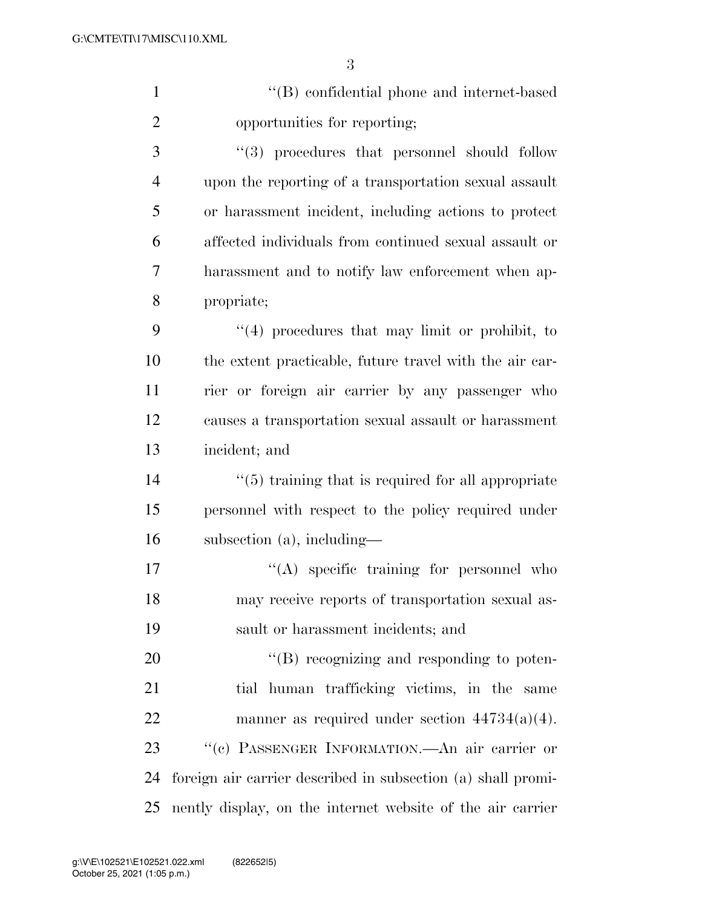| $\mathbf{1}$   | "(B) confidential phone and internet-based                |
|----------------|-----------------------------------------------------------|
| $\mathfrak{2}$ | opportunities for reporting;                              |
| 3              | "(3) procedures that personnel should follow              |
| 4              | upon the reporting of a transportation sexual assault     |
| 5              | or harassment incident, including actions to protect      |
| 6              | affected individuals from continued sexual assault or     |
| 7              | harassment and to notify law enforcement when ap-         |
| 8              | propriate;                                                |
| 9              | $(4)$ procedures that may limit or prohibit, to           |
| 10             | the extent practicable, future travel with the air car-   |
| 11             | rier or foreign air carrier by any passenger who          |
| 12             | causes a transportation sexual assault or harassment      |
| 13             | incident; and                                             |
| 14             | $\cdot$ (5) training that is required for all appropriate |
| 15             | personnel with respect to the policy required under       |
| 16             | subsection (a), including-                                |

17  $\langle (A)$  specific training for personnel who may receive reports of transportation sexual as-sault or harassment incidents; and

 $"$ (B) recognizing and responding to poten- tial human trafficking victims, in the same manner as required under section 44734(a)(4). ''(c) PASSENGER INFORMATION.—An air carrier or foreign air carrier described in subsection (a) shall promi-nently display, on the internet website of the air carrier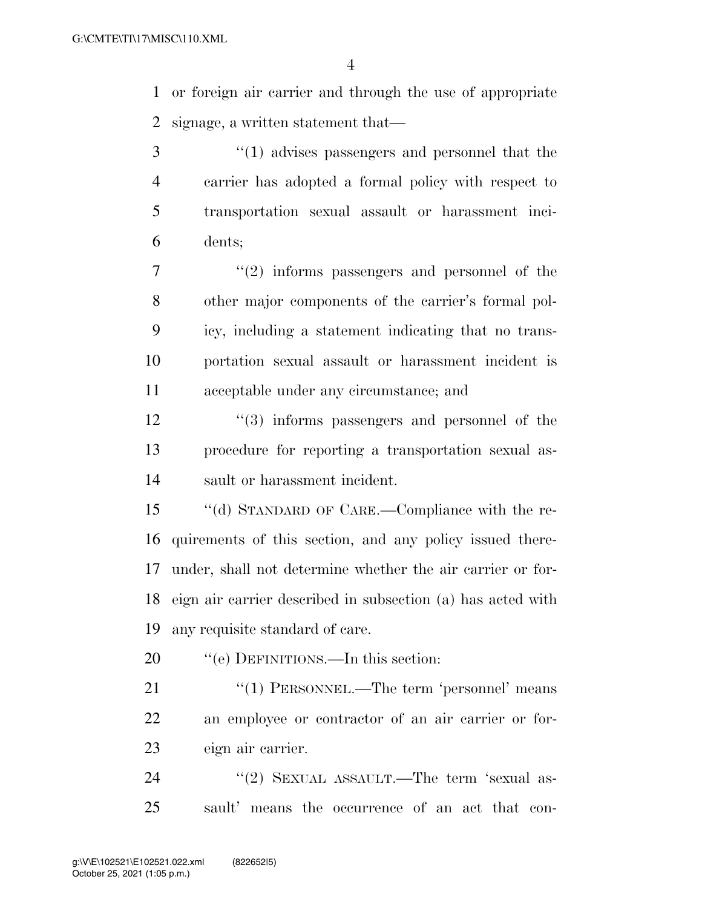or foreign air carrier and through the use of appropriate signage, a written statement that—

 ''(1) advises passengers and personnel that the carrier has adopted a formal policy with respect to transportation sexual assault or harassment inci-dents;

 $7 \t$  ''(2) informs passengers and personnel of the other major components of the carrier's formal pol- icy, including a statement indicating that no trans- portation sexual assault or harassment incident is acceptable under any circumstance; and

12 ''(3) informs passengers and personnel of the procedure for reporting a transportation sexual as-sault or harassment incident.

 ''(d) STANDARD OF CARE.—Compliance with the re- quirements of this section, and any policy issued there- under, shall not determine whether the air carrier or for- eign air carrier described in subsection (a) has acted with any requisite standard of care.

20 "'(e) DEFINITIONS.—In this section:

21 "(1) PERSONNEL.—The term 'personnel' means an employee or contractor of an air carrier or for-eign air carrier.

24 "(2) SEXUAL ASSAULT.—The term 'sexual as-sault' means the occurrence of an act that con-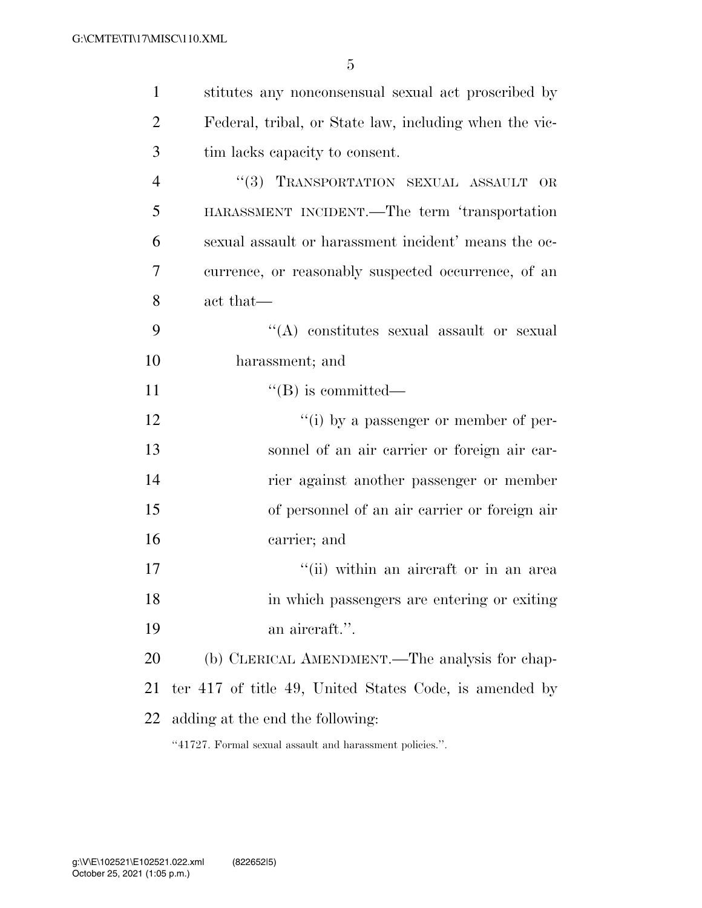| $\mathbf{1}$   | stitutes any nonconsensual sexual act proscribed by    |
|----------------|--------------------------------------------------------|
| $\overline{2}$ | Federal, tribal, or State law, including when the vic- |
| 3              | tim lacks capacity to consent.                         |
| $\overline{4}$ | "(3) TRANSPORTATION SEXUAL ASSAULT OR                  |
| 5              | HARASSMENT INCIDENT.—The term 'transportation          |
| 6              | sexual assault or harassment incident' means the oc-   |
| 7              | currence, or reasonably suspected occurrence, of an    |
| 8              | act that—                                              |
| 9              | "(A) constitutes sexual assault or sexual              |
| 10             | harassment; and                                        |
| 11             | $\lq\lq (B)$ is committed—                             |
| 12             | "(i) by a passenger or member of per-                  |
| 13             | sonnel of an air carrier or foreign air car-           |
| 14             | rier against another passenger or member               |
| 15             | of personnel of an air carrier or foreign air          |
| 16             | carrier; and                                           |
| 17             | "(ii) within an aircraft or in an area                 |
| 18             | in which passengers are entering or exiting            |
| 19             | an aircraft.".                                         |
| 20             | (b) CLERICAL AMENDMENT.—The analysis for chap-         |
| 21             | ter 417 of title 49, United States Code, is amended by |
| 22             | adding at the end the following:                       |
|                |                                                        |

''41727. Formal sexual assault and harassment policies.''.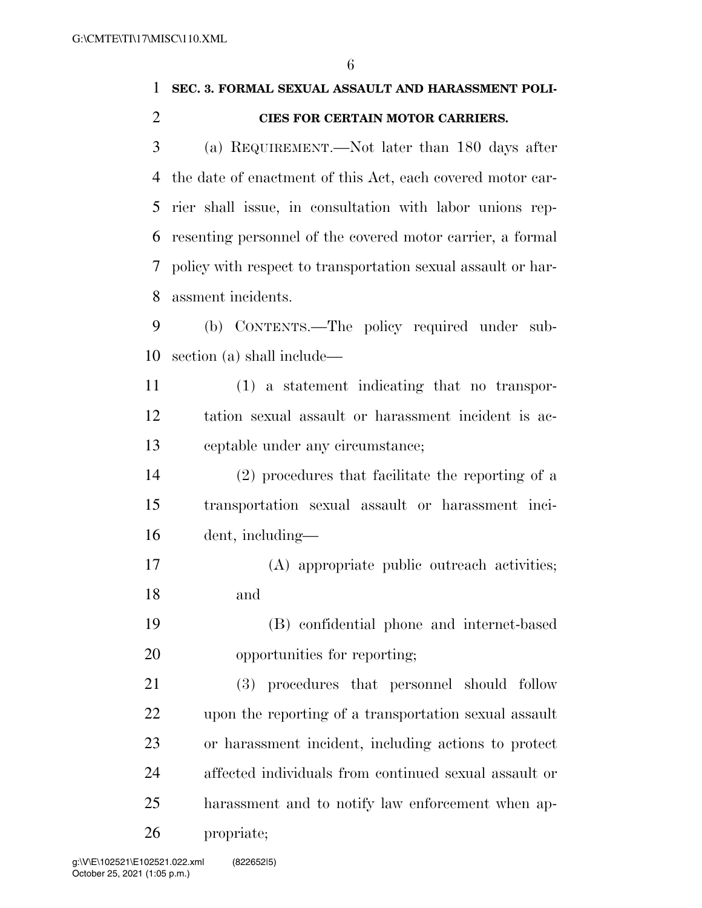# **SEC. 3. FORMAL SEXUAL ASSAULT AND HARASSMENT POLI- CIES FOR CERTAIN MOTOR CARRIERS.**  (a) REQUIREMENT.—Not later than 180 days after the date of enactment of this Act, each covered motor car-

 rier shall issue, in consultation with labor unions rep- resenting personnel of the covered motor carrier, a formal policy with respect to transportation sexual assault or har-assment incidents.

 (b) CONTENTS.—The policy required under sub-section (a) shall include—

 (1) a statement indicating that no transpor- tation sexual assault or harassment incident is ac-ceptable under any circumstance;

 (2) procedures that facilitate the reporting of a transportation sexual assault or harassment inci-dent, including—

 (A) appropriate public outreach activities; and

 (B) confidential phone and internet-based opportunities for reporting;

 (3) procedures that personnel should follow upon the reporting of a transportation sexual assault or harassment incident, including actions to protect affected individuals from continued sexual assault or harassment and to notify law enforcement when ap-propriate;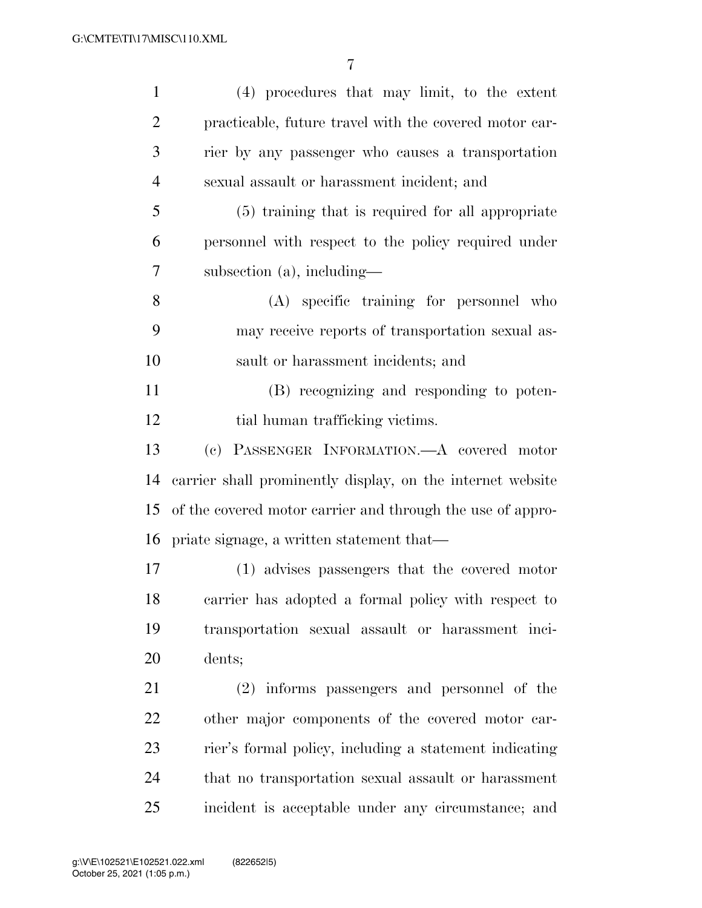| $\mathbf{1}$   | (4) procedures that may limit, to the extent               |
|----------------|------------------------------------------------------------|
| $\overline{2}$ | practicable, future travel with the covered motor car-     |
| 3              | rier by any passenger who causes a transportation          |
| $\overline{4}$ | sexual assault or harassment incident; and                 |
| 5              | (5) training that is required for all appropriate          |
| 6              | personnel with respect to the policy required under        |
| 7              | subsection (a), including-                                 |
| 8              | (A) specific training for personnel who                    |
| 9              | may receive reports of transportation sexual as-           |
| 10             | sault or harassment incidents; and                         |
| 11             | (B) recognizing and responding to poten-                   |
| 12             | tial human trafficking victims.                            |
| 13             | (c) PASSENGER INFORMATION. A covered motor                 |
| 14             | carrier shall prominently display, on the internet website |
| 15             | of the covered motor carrier and through the use of appro- |
| 16             | priate signage, a written statement that—                  |
| 17             | (1) advises passengers that the covered motor              |
| 18             | carrier has adopted a formal policy with respect to        |
| 19             | transportation sexual assault or harassment inci-          |
| 20             | dents;                                                     |
| 21             | (2) informs passengers and personnel of the                |
| 22             | other major components of the covered motor car-           |
| 23             | rier's formal policy, including a statement indicating     |
| 24             | that no transportation sexual assault or harassment        |
| 25             | incident is acceptable under any circumstance; and         |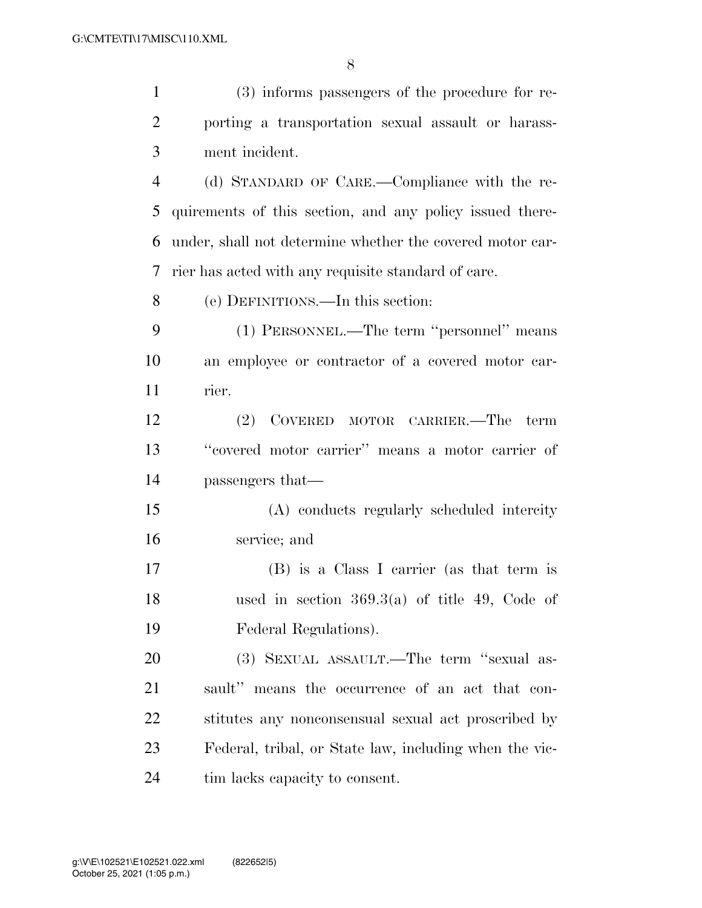| $\mathbf{1}$   | (3) informs passengers of the procedure for re-           |
|----------------|-----------------------------------------------------------|
| $\overline{2}$ | porting a transportation sexual assault or harass-        |
| 3              | ment incident.                                            |
| $\overline{4}$ | (d) STANDARD OF CARE.—Compliance with the re-             |
| 5              | quirements of this section, and any policy issued there-  |
| 6              | under, shall not determine whether the covered motor car- |
| 7              | rier has acted with any requisite standard of care.       |
| 8              | (e) DEFINITIONS.—In this section:                         |
| 9              | (1) PERSONNEL.—The term "personnel" means                 |
| 10             | an employee or contractor of a covered motor car-         |
| 11             | rier.                                                     |
| 12             | (2) COVERED MOTOR CARRIER.—The term                       |
| 13             | "covered motor carrier" means a motor carrier of          |
| 14             | passengers that—                                          |
| 15             | (A) conducts regularly scheduled intercity                |
| 16             | service; and                                              |
| 17             | (B) is a Class I carrier (as that term is                 |
| 18             | used in section $369.3(a)$ of title 49, Code of           |
| 19             | Federal Regulations).                                     |
| 20             | (3) SEXUAL ASSAULT.—The term "sexual as-                  |
| 21             | sault" means the occurrence of an act that con-           |
| 22             | stitutes any nonconsensual sexual act proscribed by       |
| 23             | Federal, tribal, or State law, including when the vic-    |
| 24             | tim lacks capacity to consent.                            |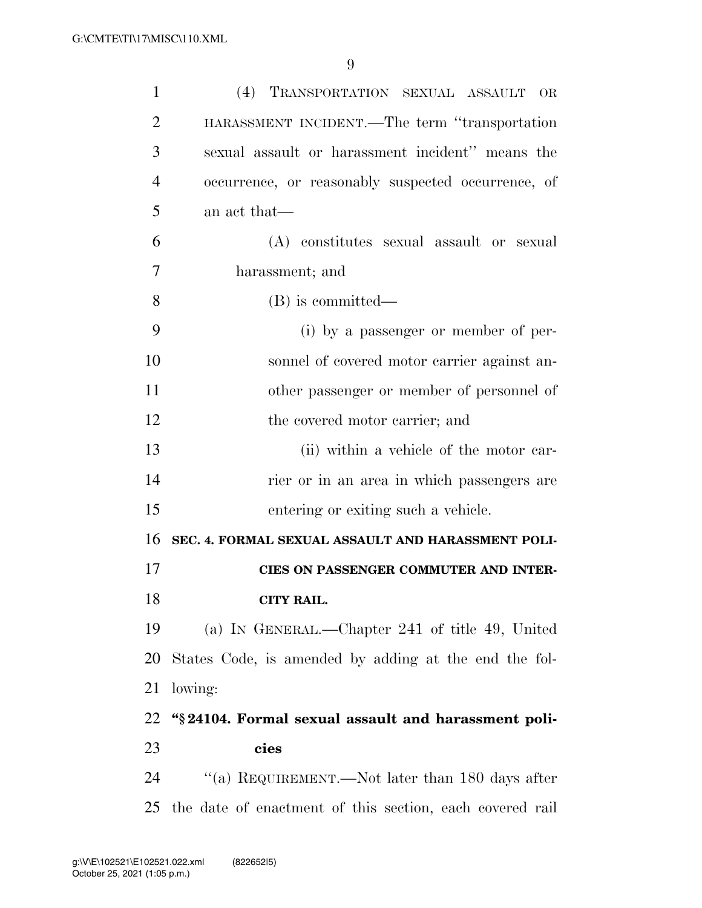| $\mathbf{1}$   | (4) TRANSPORTATION SEXUAL ASSAULT<br><b>OR</b>           |
|----------------|----------------------------------------------------------|
| $\overline{2}$ | HARASSMENT INCIDENT.—The term "transportation            |
| 3              | sexual assault or harassment incident" means the         |
| 4              | occurrence, or reasonably suspected occurrence, of       |
| 5              | an act that—                                             |
| 6              | (A) constitutes sexual assault or sexual                 |
| 7              | harassment; and                                          |
| 8              | (B) is committed—                                        |
| 9              | (i) by a passenger or member of per-                     |
| 10             | sonnel of covered motor carrier against an-              |
| 11             | other passenger or member of personnel of                |
| 12             | the covered motor carrier; and                           |
| 13             | (ii) within a vehicle of the motor car-                  |
| 14             | rier or in an area in which passengers are               |
| 15             | entering or exiting such a vehicle.                      |
| 16             | SEC. 4. FORMAL SEXUAL ASSAULT AND HARASSMENT POLI-       |
| 17             | CIES ON PASSENGER COMMUTER AND INTER-                    |
| 18             | <b>CITY RAIL.</b>                                        |
| 19             | (a) IN GENERAL.—Chapter 241 of title 49, United          |
| 20             | States Code, is amended by adding at the end the fol-    |
| 21             | lowing:                                                  |
| 22             | "§24104. Formal sexual assault and harassment poli-      |
| 23             | cies                                                     |
| 24             | "(a) REQUIREMENT.—Not later than 180 days after          |
| 25             | the date of enactment of this section, each covered rail |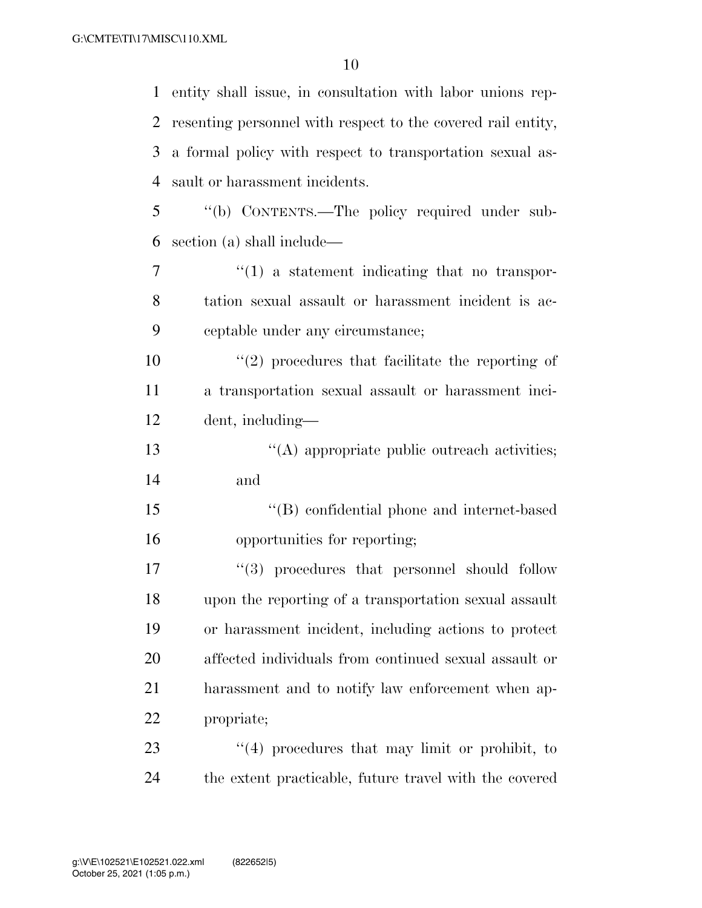| $\mathbf{1}$ | entity shall issue, in consultation with labor unions rep-   |
|--------------|--------------------------------------------------------------|
| 2            | resenting personnel with respect to the covered rail entity, |
| 3            | a formal policy with respect to transportation sexual as-    |
| 4            | sault or harassment incidents.                               |
| 5            | "(b) CONTENTS.-The policy required under sub-                |
| 6            | section (a) shall include—                                   |
| 7            | $\lq(1)$ a statement indicating that no transpor-            |
| 8            | tation sexual assault or harassment incident is ac-          |
| 9            | ceptable under any circumstance;                             |
| 10           | $\lq(2)$ procedures that facilitate the reporting of         |
| 11           | a transportation sexual assault or harassment inci-          |
| 12           | dent, including-                                             |
| 13           | "(A) appropriate public outreach activities;                 |
| 14           | and                                                          |
| 15           | "(B) confidential phone and internet-based                   |
| 16           | opportunities for reporting;                                 |
| 17           | $\lq(3)$ procedures that personnel should follow             |
| 18           | upon the reporting of a transportation sexual assault        |
| 19           | or harassment incident, including actions to protect         |
| 20           | affected individuals from continued sexual assault or        |
| 21           | harassment and to notify law enforcement when ap-            |
| 22           | propriate;                                                   |
| 23           | $\lq(4)$ procedures that may limit or prohibit, to           |
| 24           | the extent practicable, future travel with the covered       |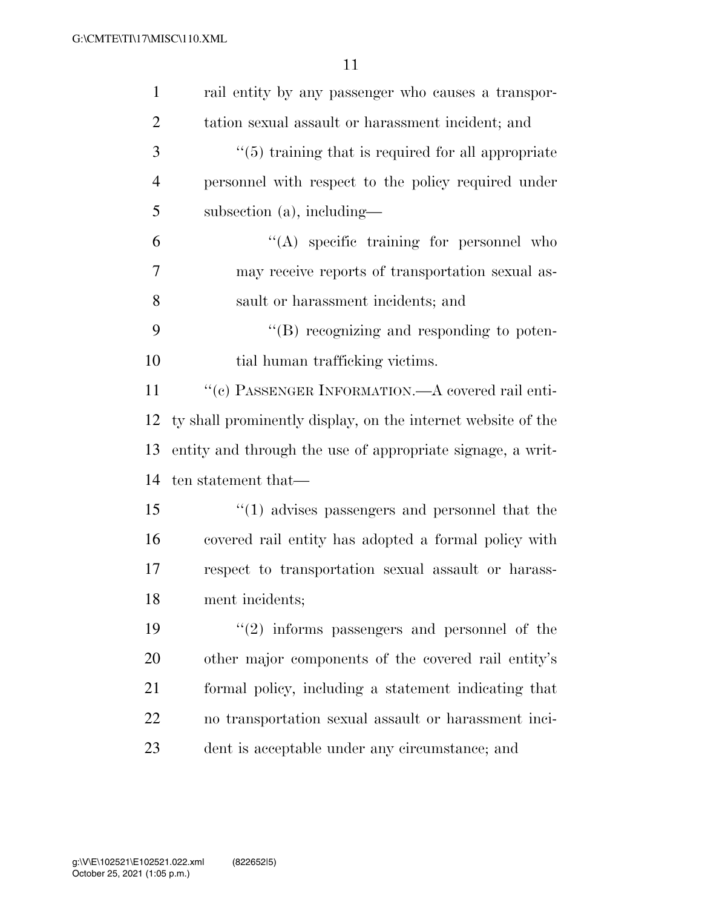| $\mathbf{1}$   | rail entity by any passenger who causes a transpor-          |
|----------------|--------------------------------------------------------------|
| $\overline{2}$ | tation sexual assault or harassment incident; and            |
| 3              | $\cdot$ (5) training that is required for all appropriate    |
| $\overline{4}$ | personnel with respect to the policy required under          |
| 5              | subsection $(a)$ , including—                                |
| 6              | $\lq\lq$ specific training for personnel who                 |
| 7              | may receive reports of transportation sexual as-             |
| 8              | sault or harassment incidents; and                           |
| 9              | "(B) recognizing and responding to poten-                    |
| 10             | tial human trafficking victims.                              |
| 11             | "(c) PASSENGER INFORMATION.—A covered rail enti-             |
| 12             | ty shall prominently display, on the internet website of the |
| 13             | entity and through the use of appropriate signage, a writ-   |
| 14             | ten statement that—                                          |
| 15             | $\cdot\cdot(1)$ advises passengers and personnel that the    |
| 16             | covered rail entity has adopted a formal policy with         |
| 17             | respect to transportation sexual assault or harass-          |
| 18             | ment incidents;                                              |
| 19             | $\lq(2)$ informs passengers and personnel of the             |
| 20             | other major components of the covered rail entity's          |
| 21             | formal policy, including a statement indicating that         |
| 22             | no transportation sexual assault or harassment inci-         |
| 23             | dent is acceptable under any circumstance; and               |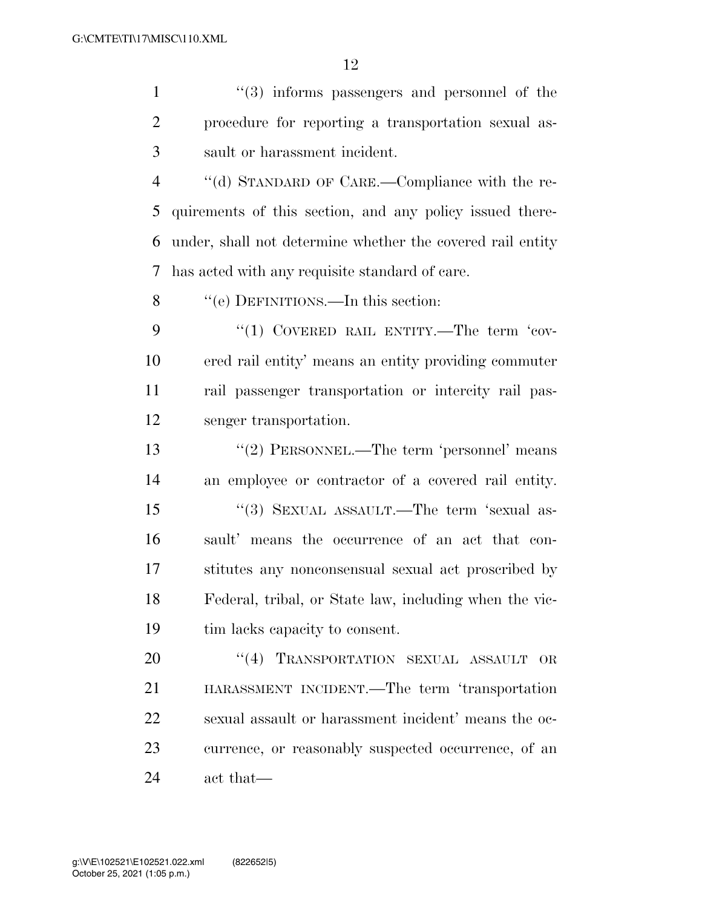1 ''(3) informs passengers and personnel of the procedure for reporting a transportation sexual as-sault or harassment incident.

 ''(d) STANDARD OF CARE.—Compliance with the re- quirements of this section, and any policy issued there- under, shall not determine whether the covered rail entity has acted with any requisite standard of care.

8 "(e) DEFINITIONS.—In this section:

9 "(1) COVERED RAIL ENTITY.—The term 'cov- ered rail entity' means an entity providing commuter rail passenger transportation or intercity rail pas-senger transportation.

13 ''(2) PERSONNEL.—The term 'personnel' means an employee or contractor of a covered rail entity. 15 "(3) SEXUAL ASSAULT.—The term 'sexual as- sault' means the occurrence of an act that con- stitutes any nonconsensual sexual act proscribed by Federal, tribal, or State law, including when the vic-tim lacks capacity to consent.

20 "(4) TRANSPORTATION SEXUAL ASSAULT OR HARASSMENT INCIDENT.—The term 'transportation sexual assault or harassment incident' means the oc- currence, or reasonably suspected occurrence, of an act that—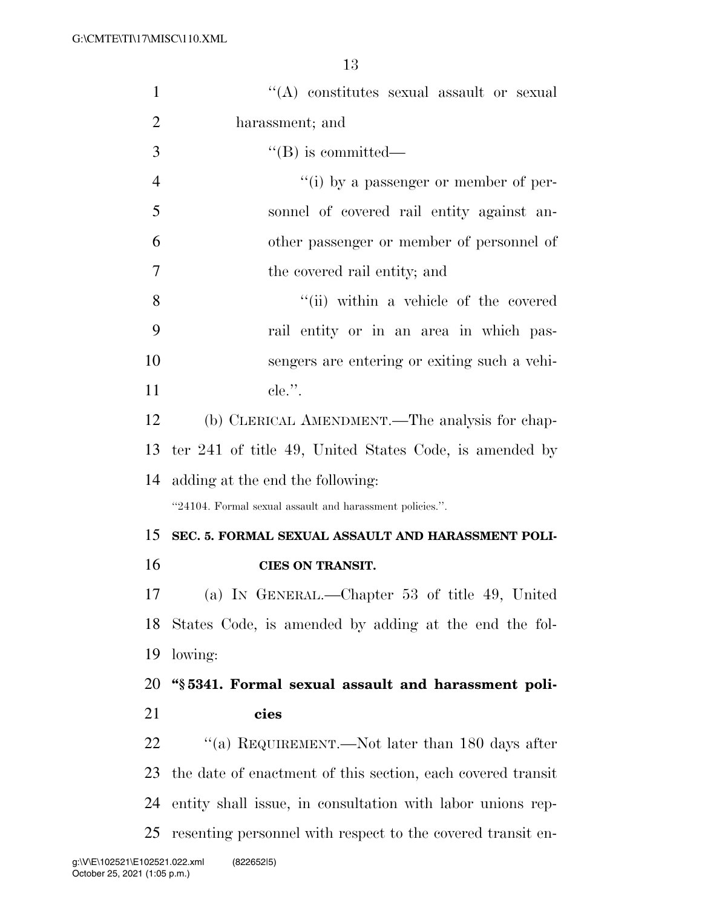| 1              | "(A) constitutes sexual assault or sexual                   |
|----------------|-------------------------------------------------------------|
| $\overline{2}$ | harassment; and                                             |
| 3              | $\lq\lq (B)$ is committed—                                  |
| $\overline{4}$ | $``(i)$ by a passenger or member of per-                    |
| 5              | sonnel of covered rail entity against an-                   |
| 6              | other passenger or member of personnel of                   |
| $\overline{7}$ | the covered rail entity; and                                |
| 8              | "(ii) within a vehicle of the covered                       |
| 9              | rail entity or in an area in which pas-                     |
| 10             | sengers are entering or exiting such a vehi-                |
| 11             | $e$ le.".                                                   |
| 12             | (b) CLERICAL AMENDMENT.—The analysis for chap-              |
| 13             | ter 241 of title 49, United States Code, is amended by      |
| 14             | adding at the end the following:                            |
|                | "24104. Formal sexual assault and harassment policies.".    |
| 15             | SEC. 5. FORMAL SEXUAL ASSAULT AND HARASSMENT POLI-          |
| 16             | <b>CIES ON TRANSIT.</b>                                     |
| 17             | (a) IN GENERAL.—Chapter 53 of title 49, United              |
| 18             | States Code, is amended by adding at the end the fol-       |
| 19             | lowing:                                                     |
| 20             | "§5341. Formal sexual assault and harassment poli-          |
| 21             | cies                                                        |
| 22             | "(a) REQUIREMENT.—Not later than 180 days after             |
| 23             | the date of enactment of this section, each covered transit |
| 24             | entity shall issue, in consultation with labor unions rep-  |
| 25             | resenting personnel with respect to the covered transit en- |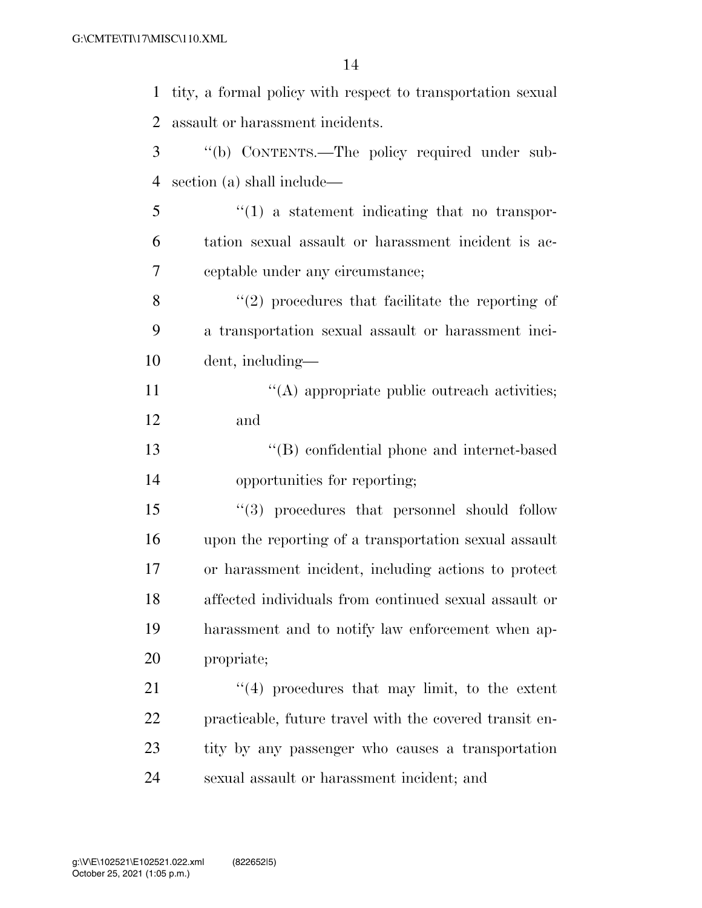| $\mathbf{1}$   | tity, a formal policy with respect to transportation sexual |
|----------------|-------------------------------------------------------------|
| 2              | assault or harassment incidents.                            |
| 3              | "(b) CONTENTS.—The policy required under sub-               |
| $\overline{4}$ | section (a) shall include—                                  |
| 5              | $\lq(1)$ a statement indicating that no transpor-           |
| 6              | tation sexual assault or harassment incident is ac-         |
| 7              | ceptable under any circumstance;                            |
| 8              | $\lq(2)$ procedures that facilitate the reporting of        |
| 9              | a transportation sexual assault or harassment inci-         |
| 10             | dent, including—                                            |
| 11             | $\lq\lq$ appropriate public outreach activities;            |
| 12             | and                                                         |
| 13             | "(B) confidential phone and internet-based                  |
| 14             | opportunities for reporting;                                |
| 15             | $``(3)$ procedures that personnel should follow             |
| 16             | upon the reporting of a transportation sexual assault       |
| 17             | or harassment incident, including actions to protect        |
| 18             | affected individuals from continued sexual assault or       |
| 19             | harassment and to notify law enforcement when ap-           |
| 20             | propriate;                                                  |
| 21             | $\lq(4)$ procedures that may limit, to the extent           |
| 22             | practicable, future travel with the covered transit en-     |
| 23             | tity by any passenger who causes a transportation           |
| 24             | sexual assault or harassment incident; and                  |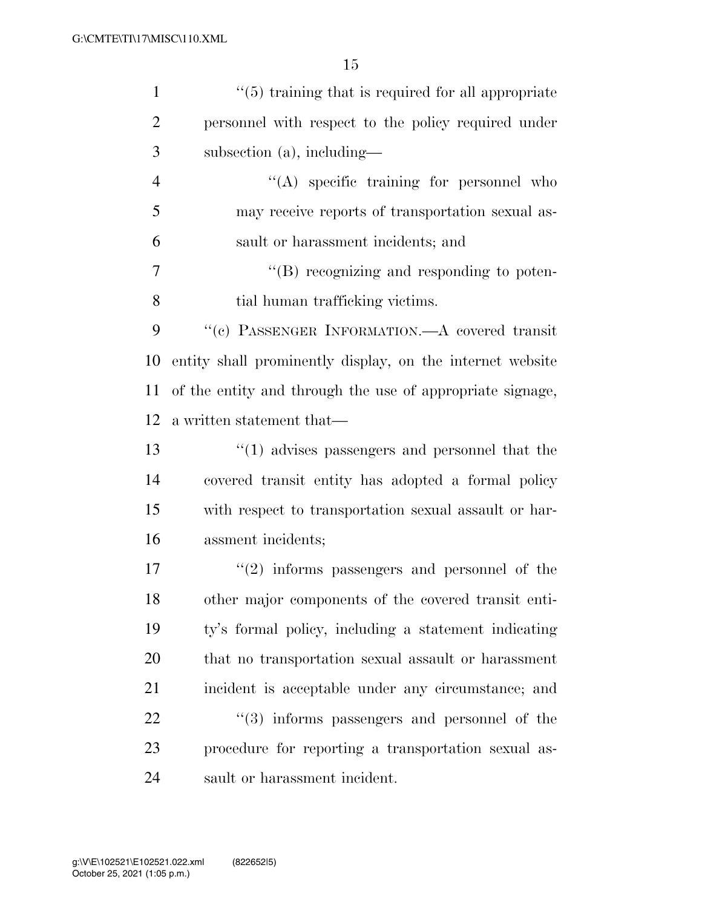| $\mathbf{1}$   | $\lq(5)$ training that is required for all appropriate       |
|----------------|--------------------------------------------------------------|
| $\overline{2}$ | personnel with respect to the policy required under          |
| 3              | subsection $(a)$ , including—                                |
| $\overline{4}$ | $\lq\lq$ specific training for personnel who                 |
| 5              | may receive reports of transportation sexual as-             |
| 6              | sault or harassment incidents; and                           |
| 7              | "(B) recognizing and responding to poten-                    |
| 8              | tial human trafficking victims.                              |
| 9              | "(c) PASSENGER INFORMATION.—A covered transit                |
| 10             | entity shall prominently display, on the internet website    |
| 11             | of the entity and through the use of appropriate signage,    |
| 12             | a written statement that—                                    |
| 13             | $\lq(1)$ advises passengers and personnel that the           |
| 14             | covered transit entity has adopted a formal policy           |
| 15             | with respect to transportation sexual assault or har-        |
| 16             | assment incidents;                                           |
| 17             | $f'(2)$ informs passengers and personnel of the              |
| 18             | other major components of the covered transit enti-          |
| 19             | ty's formal policy, including a statement indicating         |
| 20             | that no transportation sexual assault or harassment          |
| 21             | incident is acceptable under any circumstance; and           |
| 22             | $\cdot\cdot\cdot(3)$ informs passengers and personnel of the |
| 23             | procedure for reporting a transportation sexual as-          |
| 24             | sault or harassment incident.                                |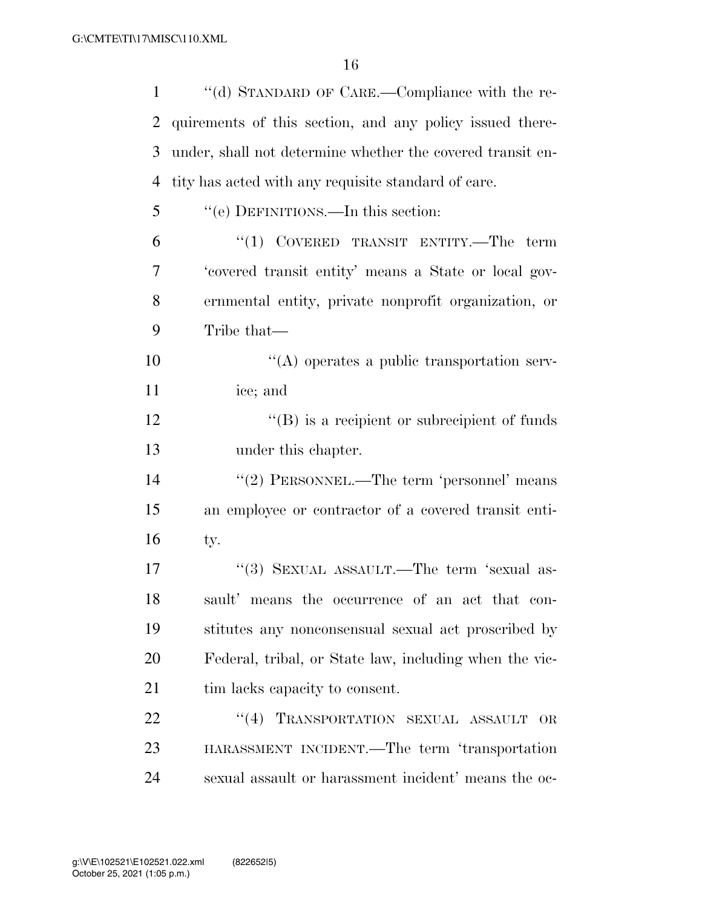| $\mathbf{1}$   | "(d) STANDARD OF CARE.—Compliance with the re-             |
|----------------|------------------------------------------------------------|
| $\overline{2}$ | quirements of this section, and any policy issued there-   |
| 3              | under, shall not determine whether the covered transit en- |
| $\overline{4}$ | tity has acted with any requisite standard of care.        |
| 5              | "(e) DEFINITIONS.—In this section:                         |
| 6              | $``(1)$ COVERED TRANSIT ENTITY.—The term                   |
| 7              | 'covered transit entity' means a State or local gov-       |
| 8              | ernmental entity, private nonprofit organization, or       |
| 9              | Tribe that—                                                |
| 10             | $\lq\lq$ operates a public transportation serv-            |
| 11             | ice; and                                                   |
| 12             | $\lq\lq (B)$ is a recipient or subrecipient of funds       |
| 13             | under this chapter.                                        |
| 14             | "(2) PERSONNEL.—The term 'personnel' means                 |
| 15             | an employee or contractor of a covered transit enti-       |
| 16             | ty.                                                        |
| 17             | "(3) SEXUAL ASSAULT.—The term 'sexual as-                  |
| 18             | sault' means the occurrence of an act that con-            |
| 19             | stitutes any nonconsensual sexual act proscribed by        |
| 20             | Federal, tribal, or State law, including when the vic-     |
| 21             | tim lacks capacity to consent.                             |
| 22             | "(4) TRANSPORTATION SEXUAL ASSAULT<br><b>OR</b>            |
| 23             | HARASSMENT INCIDENT.—The term 'transportation              |
| 24             | sexual assault or harassment incident' means the oc-       |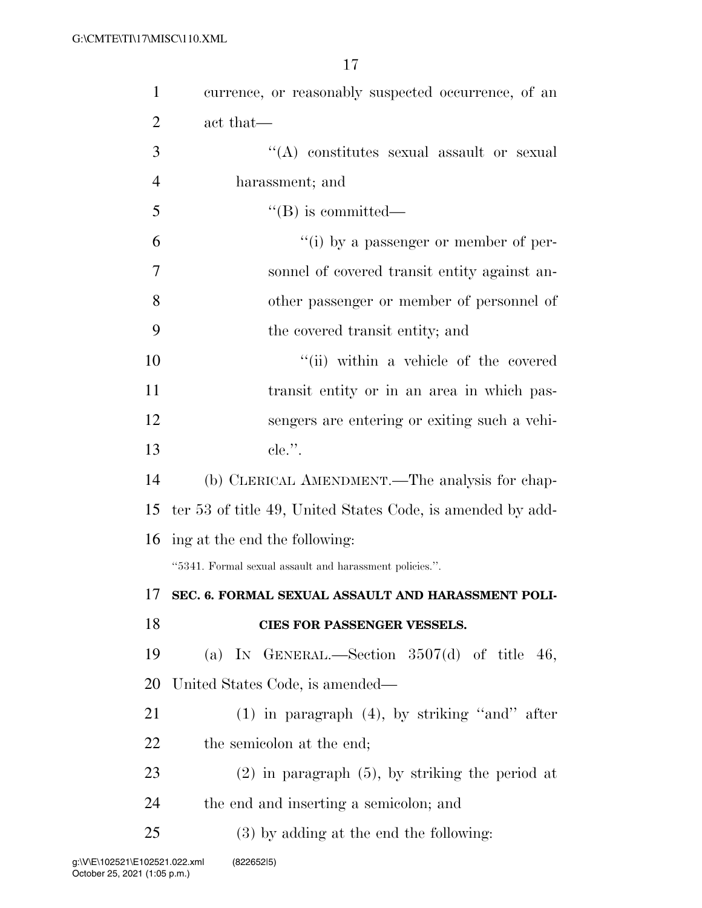| $\mathbf{1}$   | currence, or reasonably suspected occurrence, of an        |
|----------------|------------------------------------------------------------|
| $\overline{2}$ | act that—                                                  |
| 3              | "(A) constitutes sexual assault or sexual                  |
| $\overline{4}$ | harassment; and                                            |
| 5              | $\lq\lq (B)$ is committed—                                 |
| 6              | "(i) by a passenger or member of per-                      |
| 7              | sonnel of covered transit entity against an-               |
| 8              | other passenger or member of personnel of                  |
| 9              | the covered transit entity; and                            |
| 10             | "(ii) within a vehicle of the covered                      |
| 11             | transit entity or in an area in which pas-                 |
| 12             | sengers are entering or exiting such a vehi-               |
| 13             | $e$ le.".                                                  |
| 14             | (b) CLERICAL AMENDMENT.—The analysis for chap-             |
| 15             | ter 53 of title 49, United States Code, is amended by add- |
|                | 16 ing at the end the following:                           |
|                | "5341. Formal sexual assault and harassment policies.".    |
| 17             | SEC. 6. FORMAL SEXUAL ASSAULT AND HARASSMENT POLI-         |
| 18             | CIES FOR PASSENGER VESSELS.                                |
| 19             | (a) IN GENERAL.—Section $3507(d)$ of title 46,             |
| 20             | United States Code, is amended—                            |
| 21             | $(1)$ in paragraph $(4)$ , by striking "and" after         |
| 22             | the semicolon at the end;                                  |
|                |                                                            |
| 23             | $(2)$ in paragraph $(5)$ , by striking the period at       |
| 24             | the end and inserting a semicolon; and                     |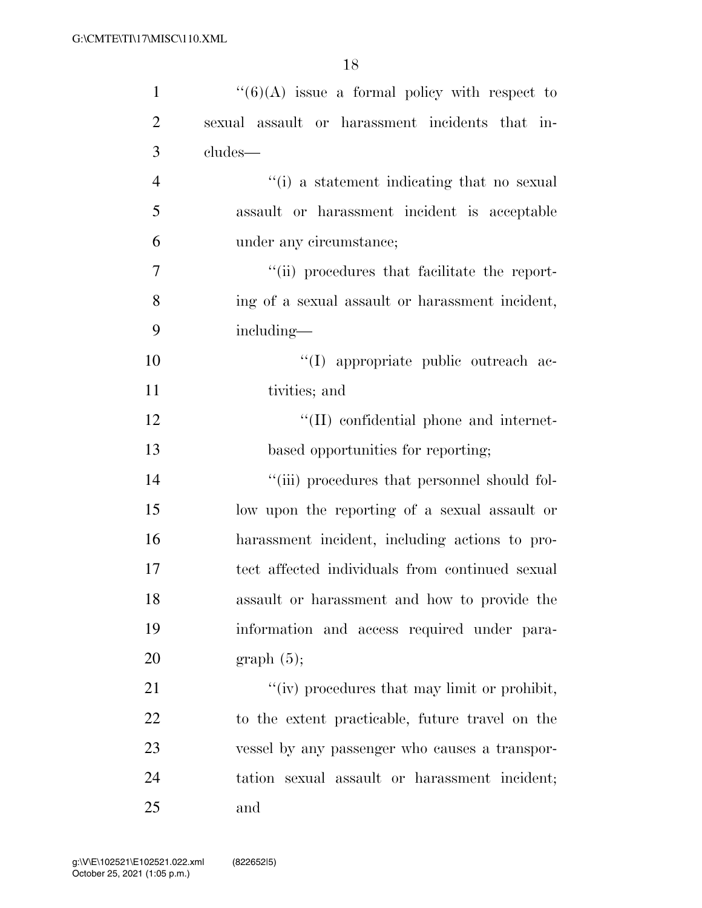| $\mathbf{1}$   | $``(6)(A)$ issue a formal policy with respect to     |
|----------------|------------------------------------------------------|
| $\overline{2}$ | sexual assault or harassment incidents that in-      |
| 3              | cludes—                                              |
| $\overline{4}$ | "(i) a statement indicating that no sexual           |
| 5              | assault or harassment incident is acceptable         |
| 6              | under any circumstance;                              |
| $\overline{7}$ | "(ii) procedures that facilitate the report-         |
| 8              | ing of a sexual assault or harassment incident,      |
| 9              | including-                                           |
| 10             | "(I) appropriate public outreach ac-                 |
| 11             | tivities; and                                        |
| 12             | "(II) confidential phone and internet-               |
| 13             | based opportunities for reporting;                   |
| 14             | "(iii) procedures that personnel should fol-         |
| 15             | low upon the reporting of a sexual assault or        |
| 16             | harassment incident, including actions to pro-       |
| 17             | tect affected individuals from continued sexual      |
| 18             | assault or harassment and how to provide the         |
| 19             | information and access required under para-          |
| 20             | graph(5);                                            |
| 21             | $\lq\lq$ (iv) procedures that may limit or prohibit, |
| 22             | to the extent practicable, future travel on the      |
| 23             | vessel by any passenger who causes a transpor-       |
| 24             | tation sexual assault or harassment incident;        |
| 25             | and                                                  |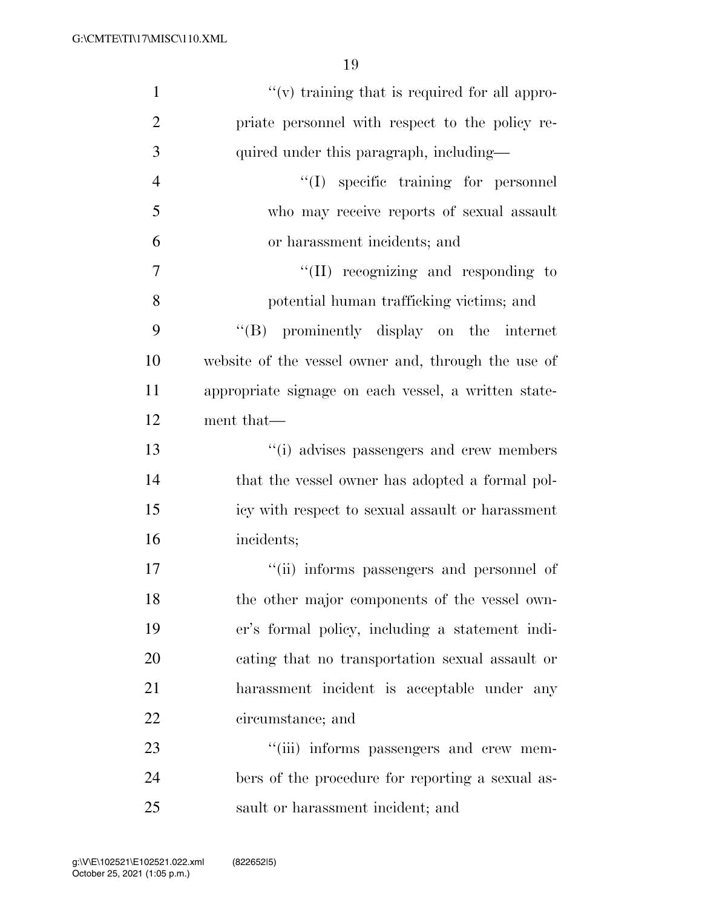| $\mathbf{1}$   | $\lq\lq$ (v) training that is required for all appro- |
|----------------|-------------------------------------------------------|
| $\overline{2}$ | priate personnel with respect to the policy re-       |
| 3              | quired under this paragraph, including—               |
| $\overline{4}$ | "(I) specific training for personnel                  |
| 5              | who may receive reports of sexual assault             |
| 6              | or harassment incidents; and                          |
| $\overline{7}$ | "(II) recognizing and responding to                   |
| 8              | potential human trafficking victims; and              |
| 9              | "(B) prominently display on the internet              |
| 10             | website of the vessel owner and, through the use of   |
| 11             | appropriate signage on each vessel, a written state-  |
| 12             | ment that—                                            |
| 13             | "(i) advises passengers and crew members              |
| 14             | that the vessel owner has adopted a formal pol-       |
| 15             | icy with respect to sexual assault or harassment      |
| 16             | incidents;                                            |
| 17             | "(ii) informs passengers and personnel of             |
| 18             | the other major components of the vessel own-         |
| 19             | er's formal policy, including a statement indi-       |
| 20             | cating that no transportation sexual assault or       |
| 21             | harassment incident is acceptable under any           |
| 22             | circumstance; and                                     |
| 23             | "(iii) informs passengers and crew mem-               |
| 24             | bers of the procedure for reporting a sexual as-      |
| 25             | sault or harassment incident; and                     |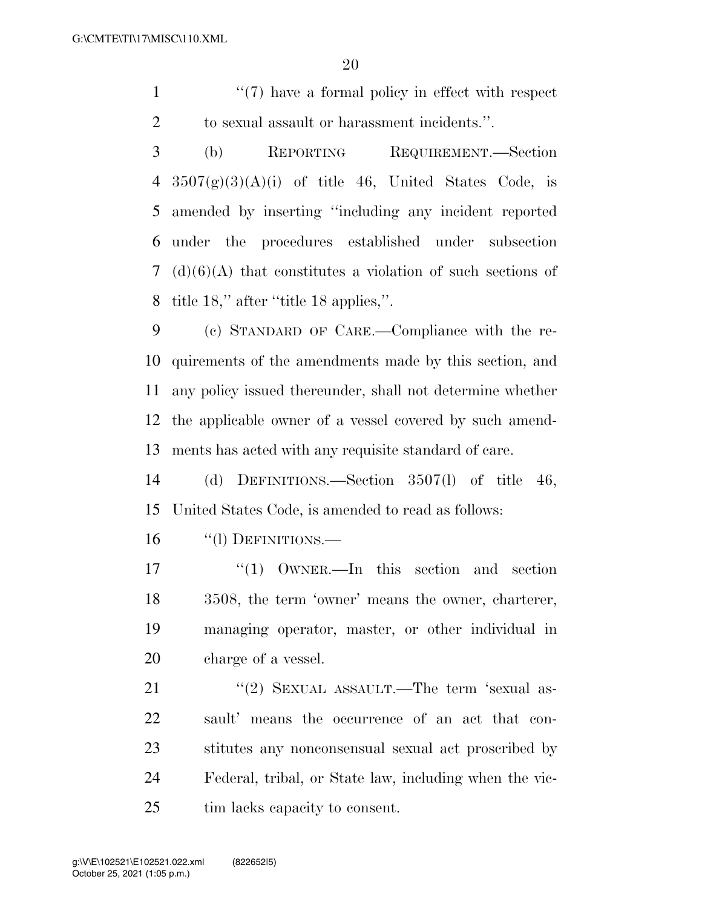1  $\frac{1}{2}$  1  $\frac{1}{2}$  1  $\frac{1}{2}$  have a formal policy in effect with respect to sexual assault or harassment incidents.''.

 (b) REPORTING REQUIREMENT.—Section  $3507(g)(3)(A)(i)$  of title 46, United States Code, is amended by inserting ''including any incident reported under the procedures established under subsection (d)(6)(A) that constitutes a violation of such sections of title 18,'' after ''title 18 applies,''.

 (c) STANDARD OF CARE.—Compliance with the re- quirements of the amendments made by this section, and any policy issued thereunder, shall not determine whether the applicable owner of a vessel covered by such amend-ments has acted with any requisite standard of care.

 (d) DEFINITIONS.—Section 3507(l) of title 46, United States Code, is amended to read as follows:

16 "(1) DEFINITIONS.—

17 ''(1) OWNER.—In this section and section 3508, the term 'owner' means the owner, charterer, managing operator, master, or other individual in charge of a vessel.

21 "(2) SEXUAL ASSAULT.—The term 'sexual as- sault' means the occurrence of an act that con- stitutes any nonconsensual sexual act proscribed by Federal, tribal, or State law, including when the vic-tim lacks capacity to consent.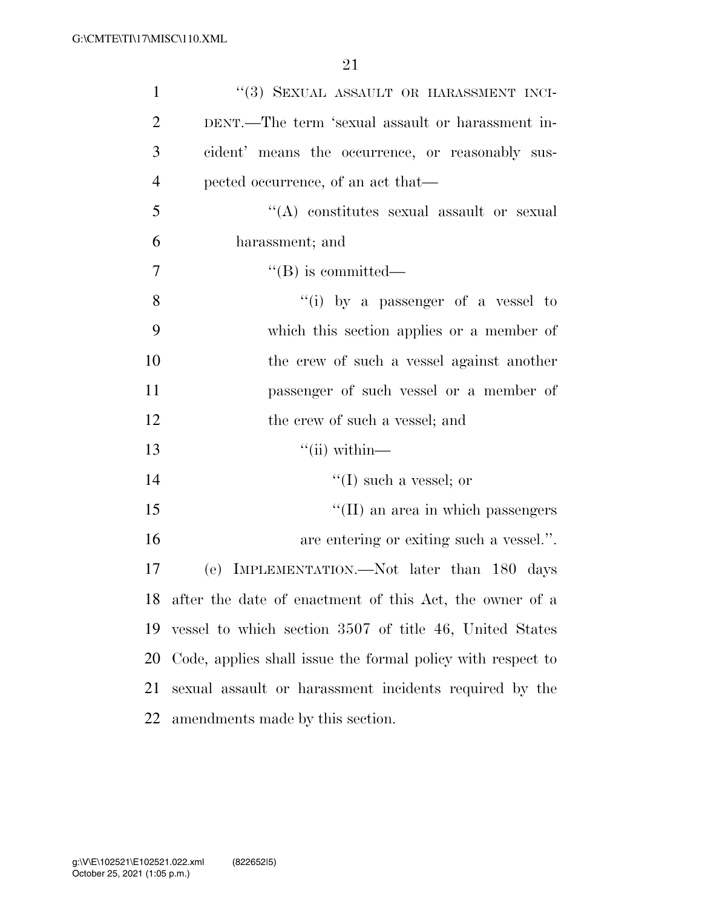| $\mathbf{1}$   | "(3) SEXUAL ASSAULT OR HARASSMENT INCI-                     |
|----------------|-------------------------------------------------------------|
| $\overline{2}$ | DENT.—The term 'sexual assault or harassment in-            |
| 3              | cident' means the occurrence, or reasonably sus-            |
| $\overline{4}$ | pected occurrence, of an act that—                          |
| 5              | $\lq\lq$ constitutes sexual assault or sexual               |
| 6              | harassment; and                                             |
| $\overline{7}$ | $\lq\lq (B)$ is committed—                                  |
| 8              | "(i) by a passenger of a vessel to                          |
| 9              | which this section applies or a member of                   |
| 10             | the crew of such a vessel against another                   |
| 11             | passenger of such vessel or a member of                     |
| 12             | the crew of such a vessel; and                              |
| 13             | $``$ (ii) within—                                           |
| 14             | $\lq\lq$ (I) such a vessel; or                              |
| 15             | "(II) an area in which passengers                           |
| 16             | are entering or exiting such a vessel.".                    |
| 17             | (e) IMPLEMENTATION.—Not later than 180 days                 |
|                | 18 after the date of enactment of this Act, the owner of a  |
| 19             | vessel to which section 3507 of title 46, United States     |
| 20             | Code, applies shall issue the formal policy with respect to |
| 21             | sexual assault or harassment incidents required by the      |
| 22             | amendments made by this section.                            |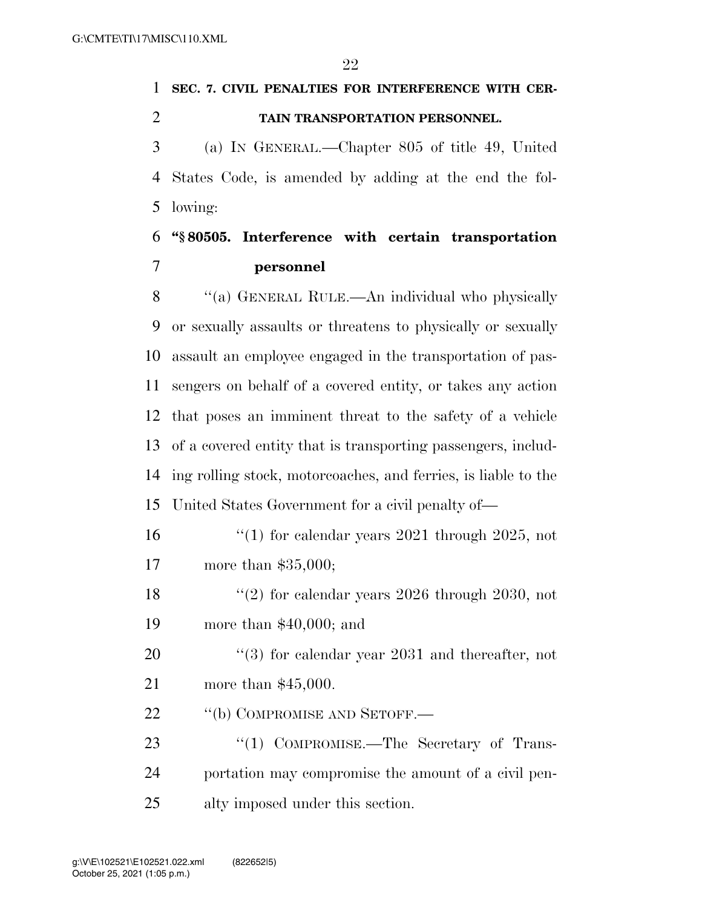# **SEC. 7. CIVIL PENALTIES FOR INTERFERENCE WITH CER-TAIN TRANSPORTATION PERSONNEL.**

 (a) IN GENERAL.—Chapter 805 of title 49, United States Code, is amended by adding at the end the fol-lowing:

### **''§ 80505. Interference with certain transportation personnel**

8 "(a) GENERAL RULE.—An individual who physically or sexually assaults or threatens to physically or sexually assault an employee engaged in the transportation of pas- sengers on behalf of a covered entity, or takes any action that poses an imminent threat to the safety of a vehicle of a covered entity that is transporting passengers, includ- ing rolling stock, motorcoaches, and ferries, is liable to the United States Government for a civil penalty of—

- 16 ''(1) for calendar years 2021 through 2025, not more than \$35,000;
- 18  $\frac{120}{20}$  for calendar years 2026 through 2030, not more than \$40,000; and
- 20  $\frac{1}{20}$  (3) for calendar year 2031 and thereafter, not more than \$45,000.
- 22 "(b) COMPROMISE AND SETOFF.—
- 23 "(1) COMPROMISE.—The Secretary of Trans- portation may compromise the amount of a civil pen-alty imposed under this section.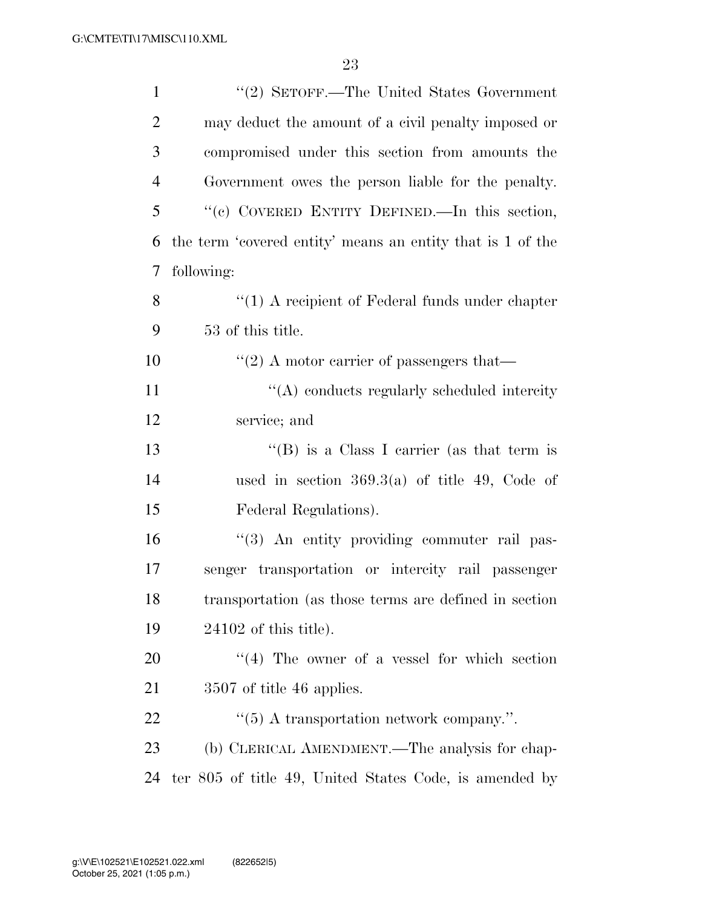| $\mathbf{1}$   | "(2) SETOFF.—The United States Government                  |
|----------------|------------------------------------------------------------|
| $\overline{2}$ | may deduct the amount of a civil penalty imposed or        |
| 3              | compromised under this section from amounts the            |
| $\overline{4}$ | Government owes the person liable for the penalty.         |
| 5              | "(c) COVERED ENTITY DEFINED.—In this section,              |
| 6              | the term 'covered entity' means an entity that is 1 of the |
| 7              | following:                                                 |
| 8              | $\lq\lq(1)$ A recipient of Federal funds under chapter     |
| 9              | 53 of this title.                                          |
| 10             | $\cdot\cdot\cdot(2)$ A motor carrier of passengers that—   |
| 11             | "(A) conducts regularly scheduled intercity                |
| 12             | service; and                                               |
| 13             | "(B) is a Class I carrier (as that term is                 |
| 14             | used in section $369.3(a)$ of title 49, Code of            |
| 15             | Federal Regulations).                                      |
| 16             | "(3) An entity providing commuter rail pas-                |
| 17             | senger transportation or intercity rail passenger          |
| 18             | transportation (as those terms are defined in section      |
| 19             | $24102$ of this title).                                    |
| 20             | $\cdot$ (4) The owner of a vessel for which section        |
| 21             | 3507 of title 46 applies.                                  |
| 22             | " $(5)$ A transportation network company.".                |
| 23             | (b) CLERICAL AMENDMENT.—The analysis for chap-             |
| 24             | ter 805 of title 49, United States Code, is amended by     |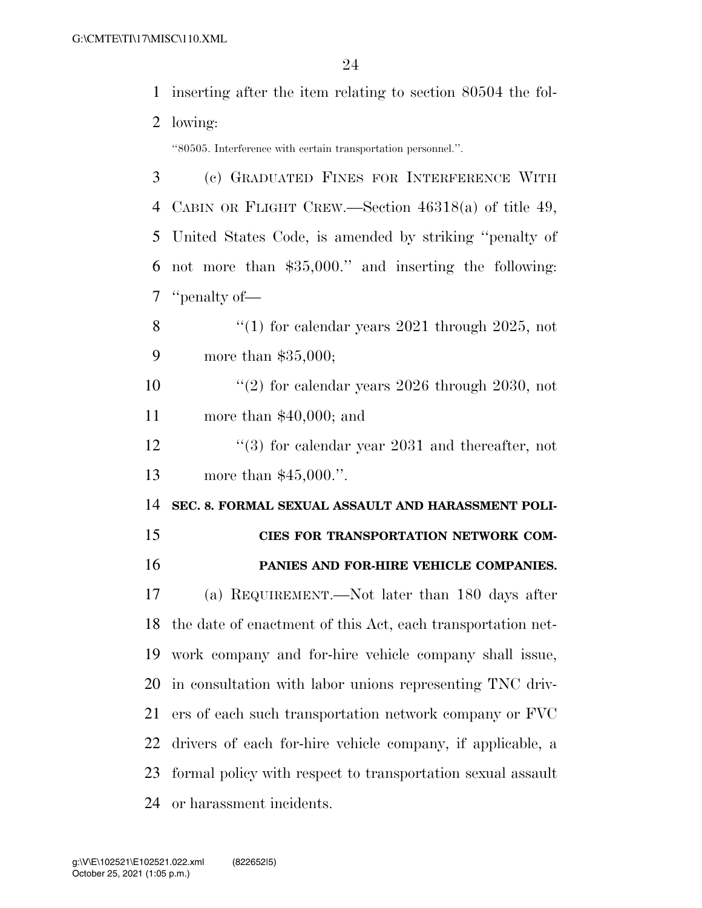inserting after the item relating to section 80504 the fol-

lowing:

''80505. Interference with certain transportation personnel.''.

| 3  | (c) GRADUATED FINES FOR INTERFERENCE WITH                   |
|----|-------------------------------------------------------------|
| 4  | CABIN OR FLIGHT CREW.—Section $46318(a)$ of title 49,       |
| 5  | United States Code, is amended by striking "penalty of      |
| 6  | not more than \$35,000." and inserting the following:       |
| 7  | "penalty of—                                                |
| 8  | "(1) for calendar years $2021$ through $2025$ , not         |
| 9  | more than $$35,000;$                                        |
| 10 | "(2) for calendar years $2026$ through $2030$ , not         |
| 11 | more than $$40,000$ ; and                                   |
| 12 | $(3)$ for calendar year 2031 and thereafter, not            |
| 13 | more than $$45,000."$ .                                     |
|    |                                                             |
| 14 | SEC. 8. FORMAL SEXUAL ASSAULT AND HARASSMENT POLI-          |
| 15 | CIES FOR TRANSPORTATION NETWORK COM-                        |
| 16 | PANIES AND FOR-HIRE VEHICLE COMPANIES.                      |
| 17 | (a) REQUIREMENT.—Not later than 180 days after              |
| 18 | the date of enactment of this Act, each transportation net- |
| 19 | work company and for-hire vehicle company shall issue,      |
|    | 20 in consultation with labor unions representing TNC driv- |
| 21 | ers of each such transportation network company or FVC      |
| 22 | drivers of each for-hire vehicle company, if applicable, a  |
| 23 | formal policy with respect to transportation sexual assault |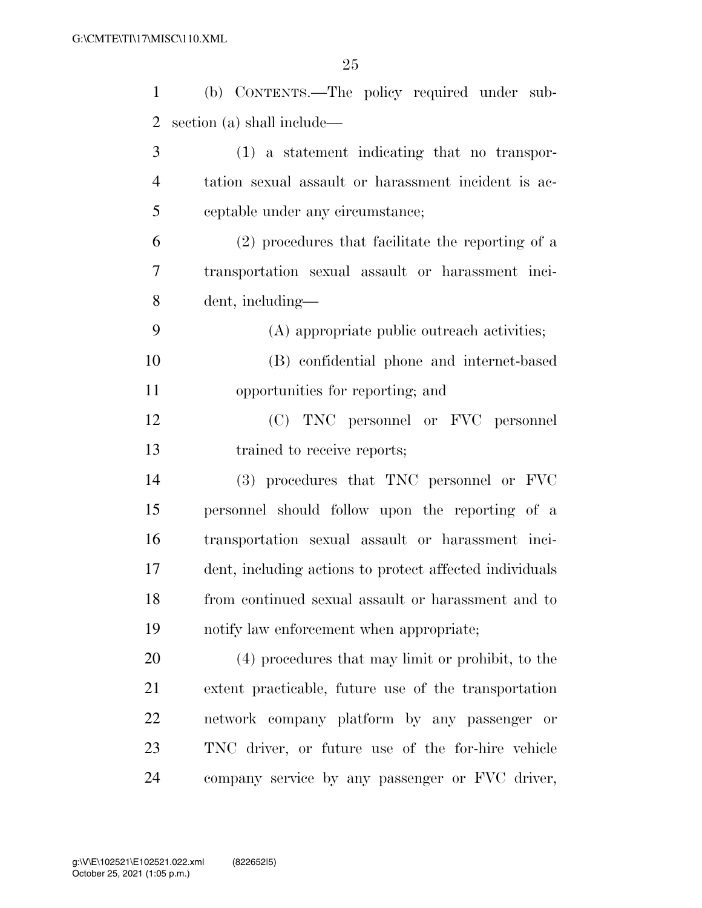| $\mathbf{1}$   | (b) CONTENTS.—The policy required under sub-            |
|----------------|---------------------------------------------------------|
| $\overline{2}$ | section (a) shall include—                              |
| 3              | (1) a statement indicating that no transpor-            |
| $\overline{4}$ | tation sexual assault or harassment incident is ac-     |
| 5              | ceptable under any circumstance;                        |
| 6              | (2) procedures that facilitate the reporting of a       |
| 7              | transportation sexual assault or harassment inci-       |
| 8              | dent, including—                                        |
| 9              | (A) appropriate public outreach activities;             |
| 10             | (B) confidential phone and internet-based               |
| 11             | opportunities for reporting; and                        |
| 12             | (C) TNC personnel or FVC personnel                      |
| 13             | trained to receive reports;                             |
| 14             | (3) procedures that TNC personnel or FVC                |
| 15             | personnel should follow upon the reporting of a         |
| 16             | transportation sexual assault or harassment inci-       |
| 17             | dent, including actions to protect affected individuals |
| 18             | from continued sexual assault or harassment and to      |
| 19             | notify law enforcement when appropriate;                |
| 20             | (4) procedures that may limit or prohibit, to the       |
| 21             | extent practicable, future use of the transportation    |
| 22             | network company platform by any passenger or            |
| 23             | TNC driver, or future use of the for-hire vehicle       |
| 24             | company service by any passenger or FVC driver,         |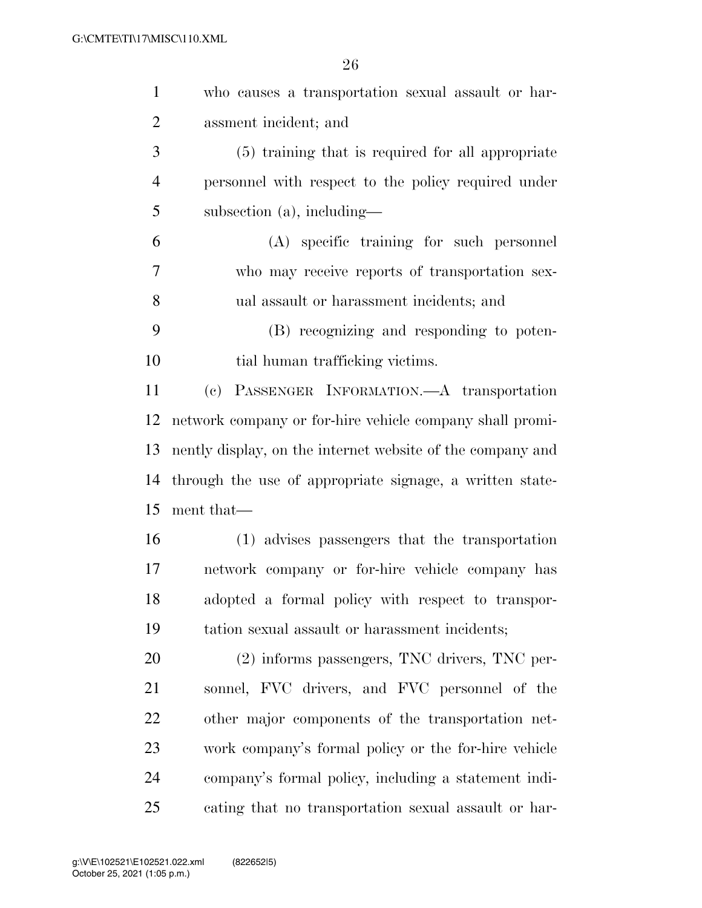| $\mathbf{1}$   | who causes a transportation sexual assault or har-         |
|----------------|------------------------------------------------------------|
| $\overline{2}$ | assment incident; and                                      |
| 3              | (5) training that is required for all appropriate          |
| $\overline{4}$ | personnel with respect to the policy required under        |
| 5              | subsection $(a)$ , including—                              |
| 6              | (A) specific training for such personnel                   |
| 7              | who may receive reports of transportation sex-             |
| 8              | ual assault or harassment incidents; and                   |
| 9              | (B) recognizing and responding to poten-                   |
| 10             | tial human trafficking victims.                            |
| 11             | (c) PASSENGER INFORMATION.—A transportation                |
| 12             | network company or for-hire vehicle company shall promi-   |
| 13             | nently display, on the internet website of the company and |
| 14             | through the use of appropriate signage, a written state-   |
| 15             | ment that—                                                 |
| 16             | (1) advises passengers that the transportation             |
| 17             | network company or for-hire vehicle company has            |
| 18             | adopted a formal policy with respect to transpor-          |
| 19             | tation sexual assault or harassment incidents;             |
| 20             | (2) informs passengers, TNC drivers, TNC per-              |
| 21             | sonnel, FVC drivers, and FVC personnel of the              |
| 22             | other major components of the transportation net-          |
| 23             | work company's formal policy or the for-hire vehicle       |
| 24             | company's formal policy, including a statement indi-       |
| 25             | cating that no transportation sexual assault or har-       |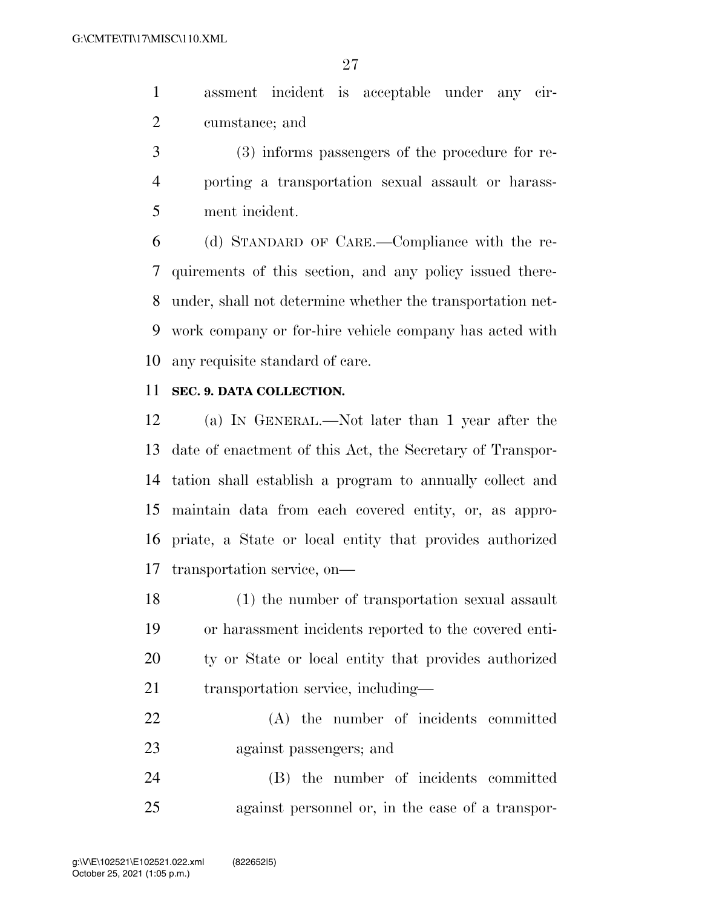assment incident is acceptable under any cir-cumstance; and

 (3) informs passengers of the procedure for re- porting a transportation sexual assault or harass-ment incident.

 (d) STANDARD OF CARE.—Compliance with the re- quirements of this section, and any policy issued there- under, shall not determine whether the transportation net- work company or for-hire vehicle company has acted with any requisite standard of care.

### **SEC. 9. DATA COLLECTION.**

 (a) IN GENERAL.—Not later than 1 year after the date of enactment of this Act, the Secretary of Transpor- tation shall establish a program to annually collect and maintain data from each covered entity, or, as appro- priate, a State or local entity that provides authorized transportation service, on—

 (1) the number of transportation sexual assault or harassment incidents reported to the covered enti- ty or State or local entity that provides authorized 21 transportation service, including—

 (A) the number of incidents committed against passengers; and

 (B) the number of incidents committed against personnel or, in the case of a transpor-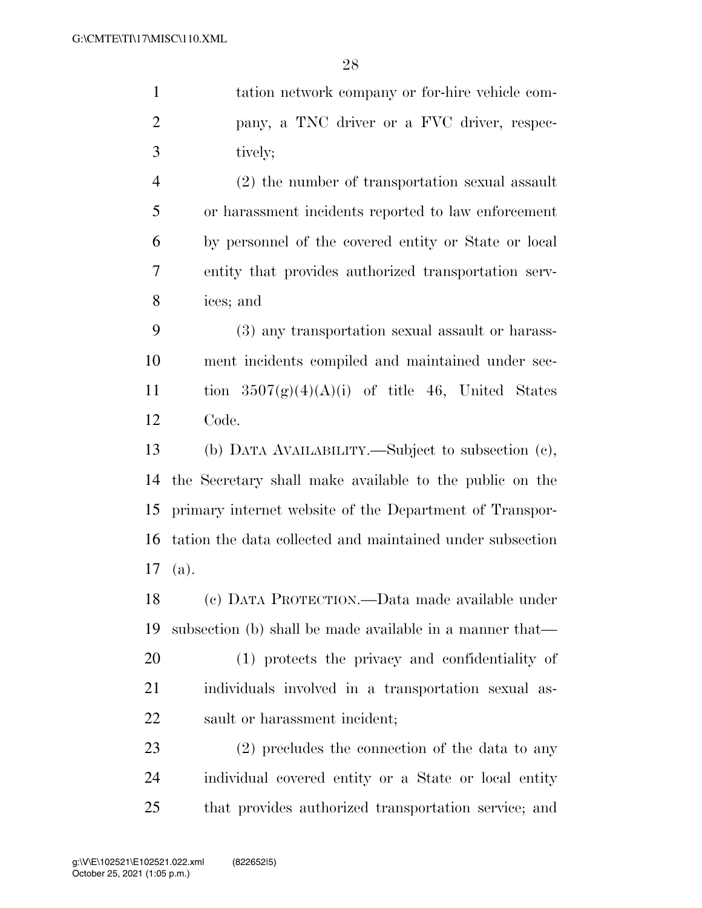tation network company or for-hire vehicle com- pany, a TNC driver or a FVC driver, respec- tively; (2) the number of transportation sexual assault or harassment incidents reported to law enforcement by personnel of the covered entity or State or local entity that provides authorized transportation serv- ices; and (3) any transportation sexual assault or harass- ment incidents compiled and maintained under sec-11 tion  $3507(g)(4)(A)(i)$  of title 46, United States Code. (b) DATA AVAILABILITY.—Subject to subsection (c), the Secretary shall make available to the public on the primary internet website of the Department of Transpor- tation the data collected and maintained under subsection (a). (c) DATA PROTECTION.—Data made available under subsection (b) shall be made available in a manner that— (1) protects the privacy and confidentiality of individuals involved in a transportation sexual as-sault or harassment incident;

 (2) precludes the connection of the data to any individual covered entity or a State or local entity that provides authorized transportation service; and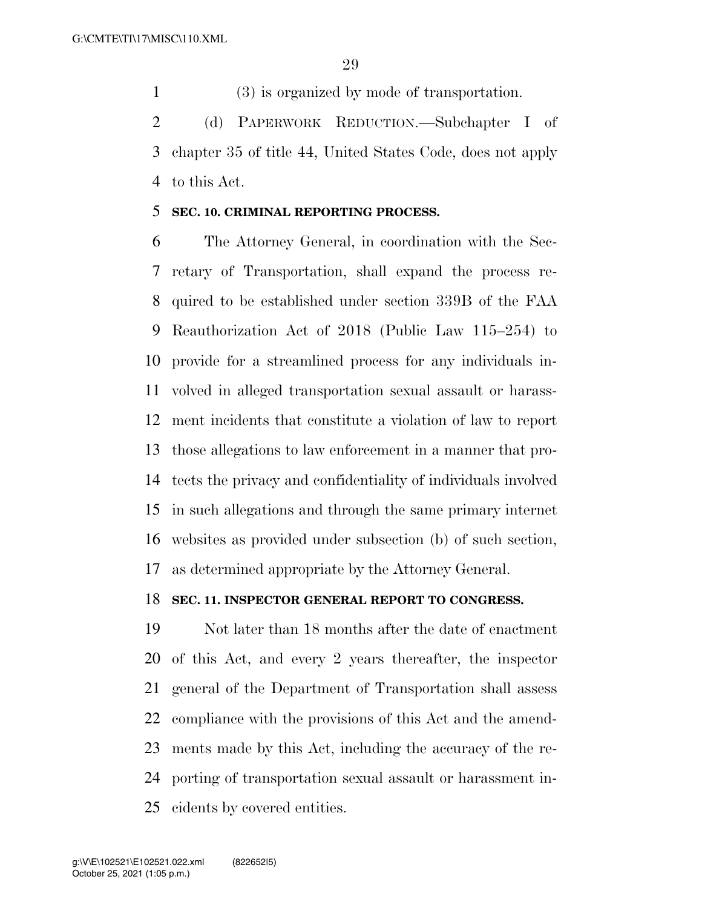(3) is organized by mode of transportation.

 (d) PAPERWORK REDUCTION.—Subchapter I of chapter 35 of title 44, United States Code, does not apply to this Act.

### **SEC. 10. CRIMINAL REPORTING PROCESS.**

 The Attorney General, in coordination with the Sec- retary of Transportation, shall expand the process re- quired to be established under section 339B of the FAA Reauthorization Act of 2018 (Public Law 115–254) to provide for a streamlined process for any individuals in- volved in alleged transportation sexual assault or harass- ment incidents that constitute a violation of law to report those allegations to law enforcement in a manner that pro- tects the privacy and confidentiality of individuals involved in such allegations and through the same primary internet websites as provided under subsection (b) of such section, as determined appropriate by the Attorney General.

### **SEC. 11. INSPECTOR GENERAL REPORT TO CONGRESS.**

 Not later than 18 months after the date of enactment of this Act, and every 2 years thereafter, the inspector general of the Department of Transportation shall assess compliance with the provisions of this Act and the amend- ments made by this Act, including the accuracy of the re- porting of transportation sexual assault or harassment in-cidents by covered entities.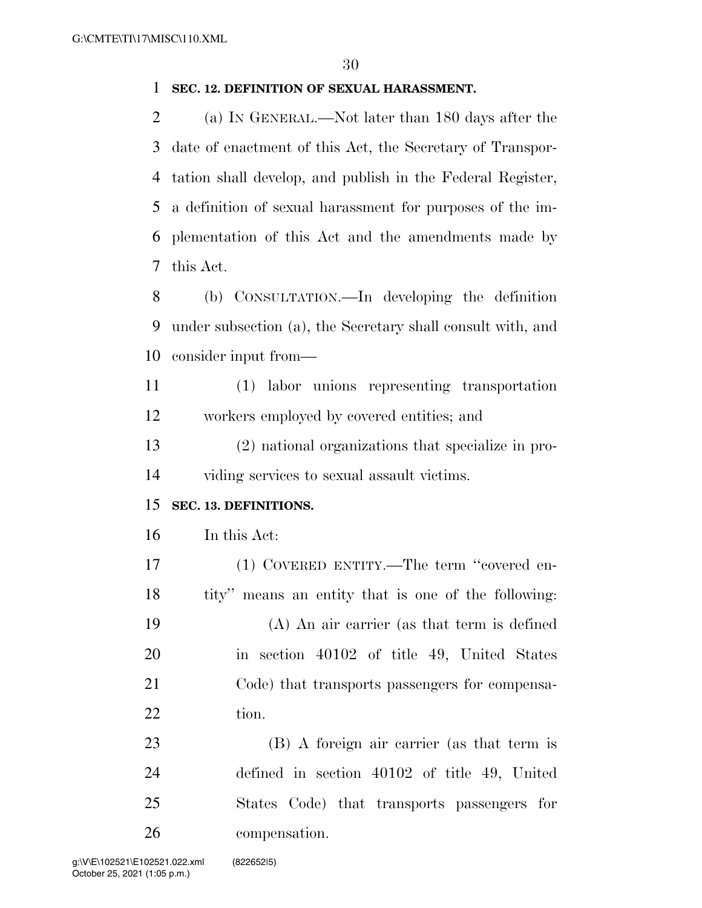### **SEC. 12. DEFINITION OF SEXUAL HARASSMENT.**

 (a) IN GENERAL.—Not later than 180 days after the date of enactment of this Act, the Secretary of Transpor- tation shall develop, and publish in the Federal Register, a definition of sexual harassment for purposes of the im- plementation of this Act and the amendments made by this Act.

 (b) CONSULTATION.—In developing the definition under subsection (a), the Secretary shall consult with, and consider input from—

 (1) labor unions representing transportation workers employed by covered entities; and

 (2) national organizations that specialize in pro-viding services to sexual assault victims.

### **SEC. 13. DEFINITIONS.**

In this Act:

 (1) COVERED ENTITY.—The term ''covered en- tity'' means an entity that is one of the following: (A) An air carrier (as that term is defined in section 40102 of title 49, United States Code) that transports passengers for compensa-22 tion.

 (B) A foreign air carrier (as that term is defined in section 40102 of title 49, United States Code) that transports passengers for compensation.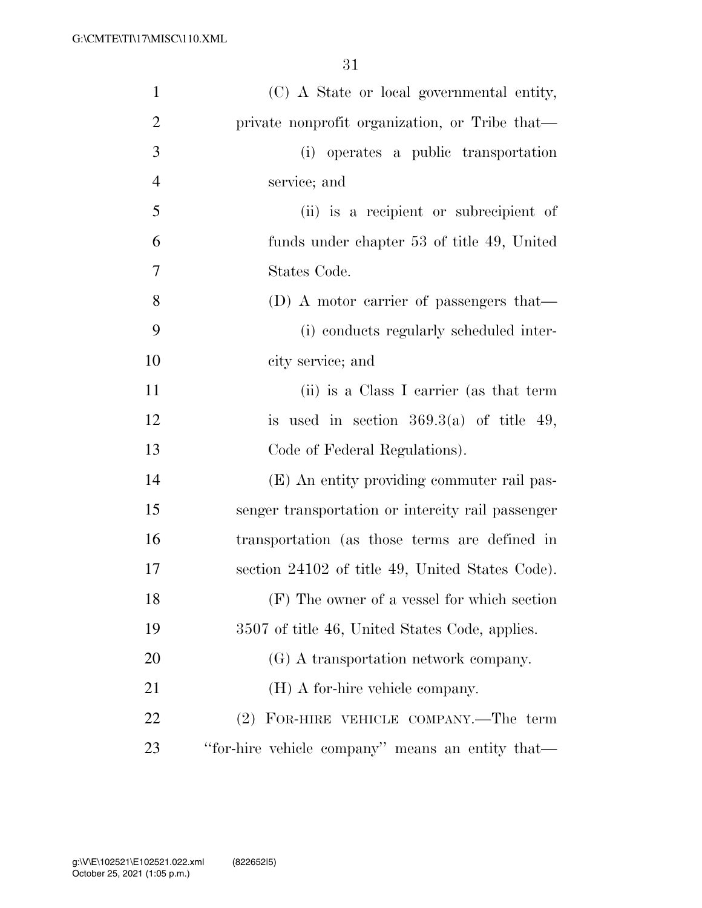| $\mathbf{1}$   | (C) A State or local governmental entity,         |
|----------------|---------------------------------------------------|
| $\overline{2}$ | private nonprofit organization, or Tribe that-    |
| 3              | (i) operates a public transportation              |
| $\overline{4}$ | service; and                                      |
| 5              | (ii) is a recipient or subrecipient of            |
| 6              | funds under chapter 53 of title 49, United        |
| 7              | States Code.                                      |
| 8              | (D) A motor carrier of passengers that—           |
| 9              | (i) conducts regularly scheduled inter-           |
| 10             | city service; and                                 |
| 11             | (ii) is a Class I carrier (as that term           |
| 12             | is used in section $369.3(a)$ of title 49,        |
| 13             | Code of Federal Regulations).                     |
| 14             | (E) An entity providing commuter rail pas-        |
| 15             | senger transportation or intercity rail passenger |
| 16             | transportation (as those terms are defined in     |
| 17             | section 24102 of title 49, United States Code).   |
| 18             | (F) The owner of a vessel for which section       |
| 19             | 3507 of title 46, United States Code, applies.    |
| 20             | (G) A transportation network company.             |
| 21             | (H) A for-hire vehicle company.                   |
| 22             | (2) FOR-HIRE VEHICLE COMPANY.—The term            |
| 23             | "for-hire vehicle company" means an entity that—  |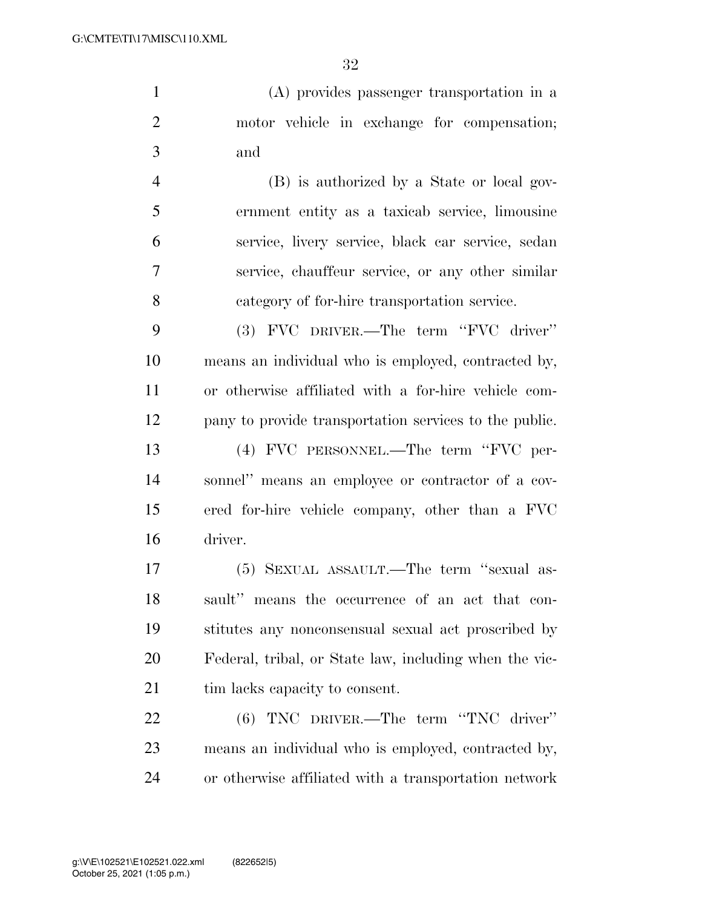(A) provides passenger transportation in a motor vehicle in exchange for compensation; and

 (B) is authorized by a State or local gov- ernment entity as a taxicab service, limousine service, livery service, black car service, sedan service, chauffeur service, or any other similar category of for-hire transportation service.

 (3) FVC DRIVER.—The term ''FVC driver'' means an individual who is employed, contracted by, or otherwise affiliated with a for-hire vehicle com- pany to provide transportation services to the public. (4) FVC PERSONNEL.—The term ''FVC per- sonnel'' means an employee or contractor of a cov- ered for-hire vehicle company, other than a FVC driver.

 (5) SEXUAL ASSAULT.—The term ''sexual as- sault'' means the occurrence of an act that con- stitutes any nonconsensual sexual act proscribed by Federal, tribal, or State law, including when the vic-21 tim lacks capacity to consent.

 (6) TNC DRIVER.—The term ''TNC driver'' means an individual who is employed, contracted by, or otherwise affiliated with a transportation network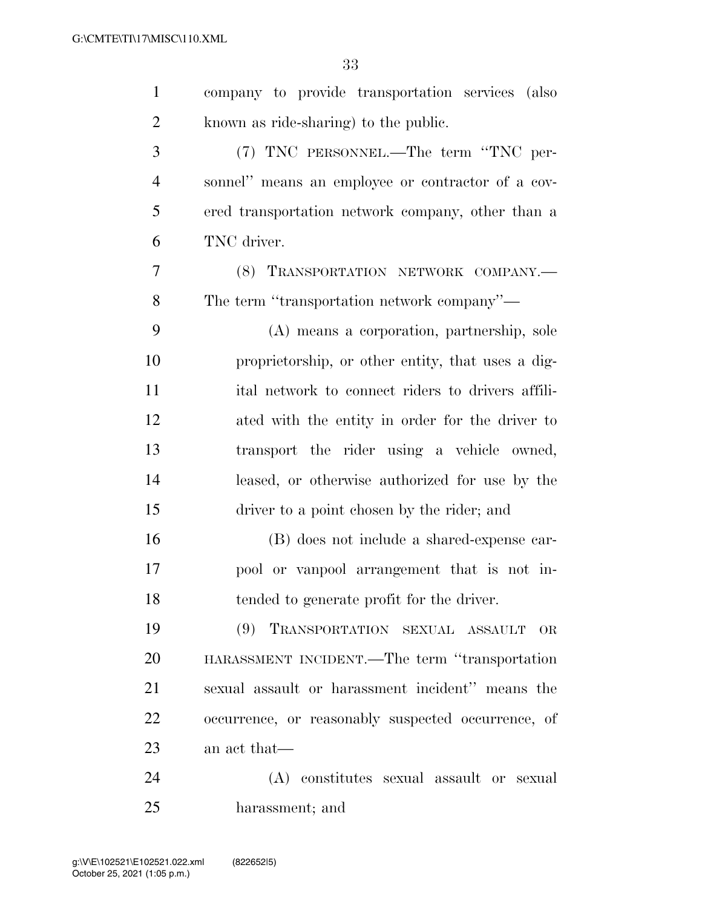| $\mathbf{1}$   | company to provide transportation services (also   |
|----------------|----------------------------------------------------|
| $\overline{2}$ | known as ride-sharing) to the public.              |
| 3              | (7) TNC PERSONNEL.—The term "TNC per-              |
| 4              | sonnel" means an employee or contractor of a cov-  |
| 5              | ered transportation network company, other than a  |
| 6              | TNC driver.                                        |
| $\overline{7}$ | (8) TRANSPORTATION NETWORK COMPANY.-               |
| 8              | The term "transportation network company"—         |
| 9              | (A) means a corporation, partnership, sole         |
| 10             | proprietorship, or other entity, that uses a dig-  |
| 11             | ital network to connect riders to drivers affili-  |
| 12             | ated with the entity in order for the driver to    |
| 13             | transport the rider using a vehicle owned,         |
| 14             | leased, or otherwise authorized for use by the     |
| 15             | driver to a point chosen by the rider; and         |
| 16             | (B) does not include a shared-expense car-         |
| 17             | pool or vanpool arrangement that is not in-        |
| 18             | tended to generate profit for the driver.          |
| 19             | (9) TRANSPORTATION SEXUAL ASSAULT<br>OR.           |
| 20             | HARASSMENT INCIDENT.—The term "transportation      |
| 21             | sexual assault or harassment incident" means the   |
| 22             | occurrence, or reasonably suspected occurrence, of |
| 23             | an act that—                                       |
| 24             | (A) constitutes sexual assault or sexual           |
| 25             | harassment; and                                    |